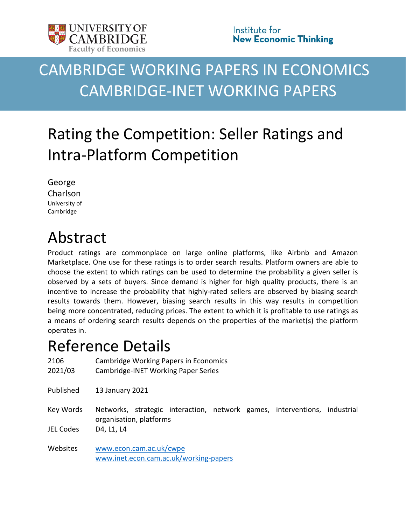

# CAMBRIDGE WORKING PAPERS IN ECONOMICS CAMBRIDGE-INET WORKING PAPERS

# Rating the Competition: Seller Ratings and Intra-Platform Competition

George Charlson University of Cambridge

# Abstract

Product ratings are commonplace on large online platforms, like Airbnb and Amazon Marketplace. One use for these ratings is to order search results. Platform owners are able to choose the extent to which ratings can be used to determine the probability a given seller is observed by a sets of buyers. Since demand is higher for high quality products, there is an incentive to increase the probability that highly-rated sellers are observed by biasing search results towards them. However, biasing search results in this way results in competition being more concentrated, reducing prices. The extent to which it is profitable to use ratings as a means of ordering search results depends on the properties of the market(s) the platform operates in.

# Reference Details

| 2106<br>2021/03  | Cambridge Working Papers in Economics<br>Cambridge-INET Working Paper Series                         |
|------------------|------------------------------------------------------------------------------------------------------|
| Published        | 13 January 2021                                                                                      |
| Key Words        | Networks, strategic interaction, network games, interventions, industrial<br>organisation, platforms |
| <b>JEL Codes</b> | D4, L1, L4                                                                                           |
| Websites         | www.econ.cam.ac.uk/cwpe<br>www.inet.econ.cam.ac.uk/working-papers                                    |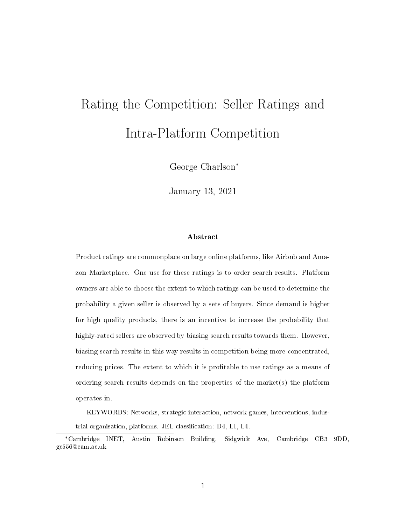# Rating the Competition: Seller Ratings and Intra-Platform Competition

George Charlson\*

January 13, 2021

#### Abstract

Product ratings are commonplace on large online platforms, like Airbnb and Amazon Marketplace. One use for these ratings is to order search results. Platform owners are able to choose the extent to which ratings can be used to determine the probability a given seller is observed by a sets of buyers. Since demand is higher for high quality products, there is an incentive to increase the probability that highly-rated sellers are observed by biasing search results towards them. However, biasing search results in this way results in competition being more concentrated, reducing prices. The extent to which it is profitable to use ratings as a means of ordering search results depends on the properties of the market(s) the platform operates in.

KEYWORDS: Networks, strategic interaction, network games, interventions, industrial organisation, platforms. JEL classification: D4, L1, L4.

<sup>\*</sup>Cambridge INET, Austin Robinson Building, Sidgwick Ave, Cambridge CB3 9DD, gc556@cam.ac.uk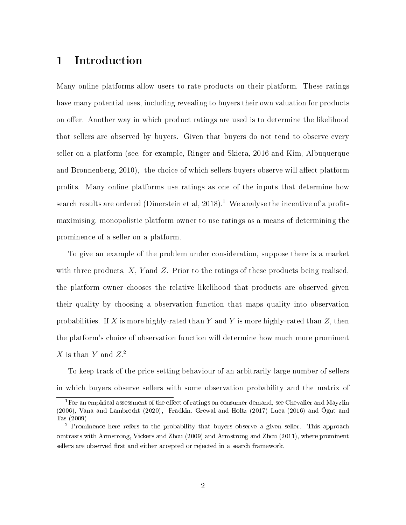# 1 Introduction

Many online platforms allow users to rate products on their platform. These ratings have many potential uses, including revealing to buyers their own valuation for products on offer. Another way in which product ratings are used is to determine the likelihood that sellers are observed by buyers. Given that buyers do not tend to observe every seller on a platform (see, for example, Ringer and Skiera, 2016 and Kim, Albuquerque and Bronnenberg,  $2010$ , the choice of which sellers buyers observe will affect platform prots. Many online platforms use ratings as one of the inputs that determine how search results are ordered (Dinerstein et al,  $2018$ ).<sup>1</sup> We analyse the incentive of a profitmaximising, monopolistic platform owner to use ratings as a means of determining the prominence of a seller on a platform.

To give an example of the problem under consideration, suppose there is a market with three products,  $X$ , Y and Z. Prior to the ratings of these products being realised. the platform owner chooses the relative likelihood that products are observed given their quality by choosing a observation function that maps quality into observation probabilities. If X is more highly-rated than Y and Y is more highly-rated than Z, then the platform's choice of observation function will determine how much more prominent  $X$  is than Y and  $Z<sup>2</sup>$ 

To keep track of the price-setting behaviour of an arbitrarily large number of sellers in which buyers observe sellers with some observation probability and the matrix of

 $1$ For an empirical assessment of the effect of ratings on consumer demand, see Chevalier and Mayzlin (2006), Vana and Lambrecht (2020), Fradkin, Grewal and Holtz (2017) Luca (2016) and Ögut and Tas (2009)

<sup>&</sup>lt;sup>2</sup> Prominence here refers to the probability that buyers observe a given seller. This approach contrasts with Armstrong, Vickers and Zhou (2009) and Armstrong and Zhou (2011), where prominent sellers are observed first and either accepted or rejected in a search framework.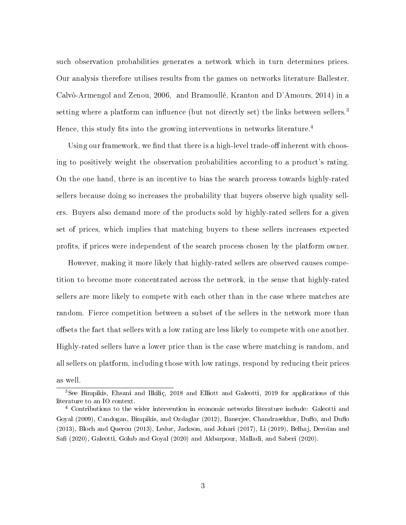such observation probabilities generates a network which in turn determines prices. Our analysis therefore utilises results from the games on networks literature Ballester, Calvò-Armengol and Zenou, 2006, and Bramoullé, Kranton and D'Amours, 2014) in a setting where a platform can influence (but not directly set) the links between sellers.<sup>3</sup> Hence, this study fits into the growing interventions in networks literature.<sup>4</sup>

Using our framework, we find that there is a high-level trade-off inherent with choosing to positively weight the observation probabilities according to a product's rating. On the one hand, there is an incentive to bias the search process towards highly-rated sellers because doing so increases the probability that buyers observe high quality sellers. Buyers also demand more of the products sold by highly-rated sellers for a given set of prices, which implies that matching buyers to these sellers increases expected prots, if prices were independent of the search process chosen by the platform owner.

However, making it more likely that highly-rated sellers are observed causes competition to become more concentrated across the network, in the sense that highly-rated sellers are more likely to compete with each other than in the case where matches are random. Fierce competition between a subset of the sellers in the network more than offsets the fact that sellers with a low rating are less likely to compete with one another. Highly-rated sellers have a lower price than is the case where matching is random, and all sellers on platform, including those with low ratings, respond by reducing their prices as well.

<sup>3</sup>See Bimpikis, Ehsani and Ilkiliç, 2018 and Elliott and Galeotti, 2019 for applications of this literature to an IO context.

<sup>4</sup> Contributions to the wider intervention in economic networks literature include: Galeotti and Goyal (2009), Candogan, Bimpikis, and Ozdaglar (2012), Banerjee, Chandrasekhar, Duflo, and Duflo (2013), Bloch and Querou (2013), Leduc, Jackson, and Johari (2017), Li (2019), Belhaj, Deroïan and Safi (2020), Galeotti, Golub and Goyal (2020) and Akbarpour, Malladi, and Saberi (2020).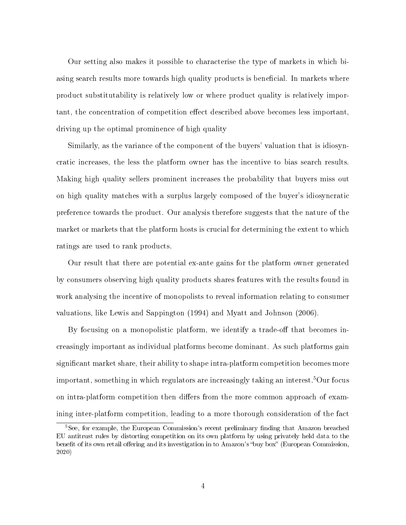Our setting also makes it possible to characterise the type of markets in which biasing search results more towards high quality products is beneficial. In markets where product substitutability is relatively low or where product quality is relatively important, the concentration of competition effect described above becomes less important, driving up the optimal prominence of high quality

Similarly, as the variance of the component of the buyers' valuation that is idiosyncratic increases, the less the platform owner has the incentive to bias search results. Making high quality sellers prominent increases the probability that buyers miss out on high quality matches with a surplus largely composed of the buyer's idiosyncratic preference towards the product. Our analysis therefore suggests that the nature of the market or markets that the platform hosts is crucial for determining the extent to which ratings are used to rank products.

Our result that there are potential ex-ante gains for the platform owner generated by consumers observing high quality products shares features with the results found in work analysing the incentive of monopolists to reveal information relating to consumer valuations, like Lewis and Sappington (1994) and Myatt and Johnson (2006).

By focusing on a monopolistic platform, we identify a trade-off that becomes increasingly important as individual platforms become dominant. As such platforms gain signicant market share, their ability to shape intra-platform competition becomes more important, something in which regulators are increasingly taking an interest.<sup>5</sup>Our focus on intra-platform competition then differs from the more common approach of examining inter-platform competition, leading to a more thorough consideration of the fact

 ${}^{5}$ See, for example, the European Commission's recent preliminary finding that Amazon breached EU antitrust rules by distorting competition on its own platform by using privately held data to the benefit of its own retail offering and its investigation in to Amazon's "buy box" (European Commission, 2020)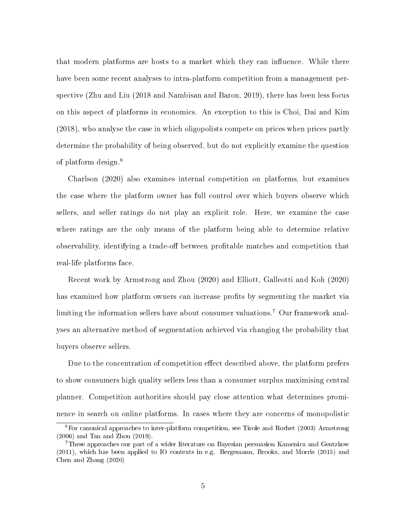that modern platforms are hosts to a market which they can influence. While there have been some recent analyses to intra-platform competition from a management perspective (Zhu and Liu (2018 and Nambisan and Baron, 2019), there has been less focus on this aspect of platforms in economics. An exception to this is Choi, Dai and Kim (2018), who analyse the case in which oligopolists compete on prices when prices partly determine the probability of being observed, but do not explicitly examine the question of platform design.<sup>6</sup>

Charlson (2020) also examines internal competition on platforms, but examines the case where the platform owner has full control over which buyers observe which sellers, and seller ratings do not play an explicit role. Here, we examine the case where ratings are the only means of the platform being able to determine relative observability, identifying a trade-off between profitable matches and competition that real-life platforms face.

Recent work by Armstrong and Zhou (2020) and Elliott, Galleotti and Koh (2020) has examined how platform owners can increase profits by segmenting the market via limiting the information sellers have about consumer valuations.<sup>7</sup> Our framework analyses an alternative method of segmentation achieved via changing the probability that buyers observe sellers.

Due to the concentration of competition effect described above, the platform prefers to show consumers high quality sellers less than a consumer surplus maximising central planner. Competition authorities should pay close attention what determines prominence in search on online platforms. In cases where they are concerns of monopolistic

<sup>&</sup>lt;sup>6</sup>For canonical approaches to inter-platform competition, see Tirole and Rochet (2003) Armstrong (2006) and Tan and Zhou (2019).

<sup>7</sup>These approaches our part of a wider literature on Bayesian persuasion Kamenica and Gentzkow (2011), which has been applied to IO contexts in e.g. Bergemann, Brooks, and Morris (2015) and Chen and Zhang (2020)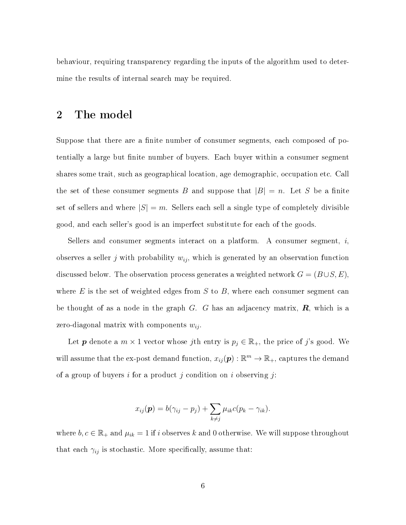behaviour, requiring transparency regarding the inputs of the algorithm used to determine the results of internal search may be required.

## 2 The model

Suppose that there are a finite number of consumer segments, each composed of potentially a large but finite number of buyers. Each buyer within a consumer segment shares some trait, such as geographical location, age demographic, occupation etc. Call the set of these consumer segments B and suppose that  $|B| = n$ . Let S be a finite set of sellers and where  $|S| = m$ . Sellers each sell a single type of completely divisible good, and each seller's good is an imperfect substitute for each of the goods.

Sellers and consumer segments interact on a platform. A consumer segment,  $i$ , observes a seller j with probability  $w_{ij}$ , which is generated by an observation function discussed below. The observation process generates a weighted network  $G = (B \cup S, E)$ , where  $E$  is the set of weighted edges from  $S$  to  $B$ , where each consumer segment can be thought of as a node in the graph  $G$ . G has an adjacency matrix,  $\mathbf{R}$ , which is a zero-diagonal matrix with components  $w_{ij}$ .

Let **p** denote a  $m \times 1$  vector whose jth entry is  $p_j \in \mathbb{R}_+$ , the price of j's good. We will assume that the ex-post demand function,  $x_{ij}(\boldsymbol{p}) : \mathbb{R}^m \to \mathbb{R}_+$ , captures the demand of a group of buyers i for a product j condition on i observing j:

$$
x_{ij}(\boldsymbol{p})=b(\gamma_{ij}-p_j)+\sum_{k\neq j}\mu_{ik}c(p_k-\gamma_{ik}).
$$

where  $b, c \in \mathbb{R}_+$  and  $\mu_{ik} = 1$  if i observes k and 0 otherwise. We will suppose throughout that each  $\gamma_{ij}$  is stochastic. More specifically, assume that: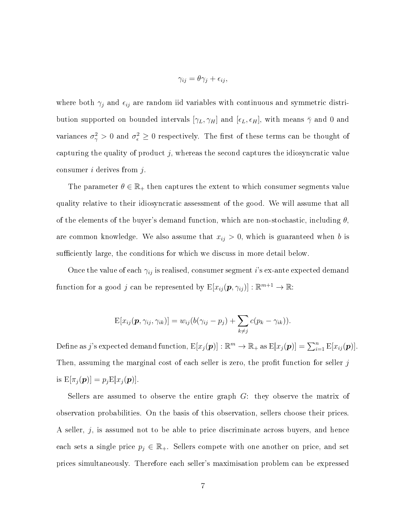$$
\gamma_{ij} = \theta \gamma_j + \epsilon_{ij},
$$

where both  $\gamma_j$  and  $\epsilon_{ij}$  are random iid variables with continuous and symmetric distribution supported on bounded intervals  $[\gamma_L, \gamma_H]$  and  $[\epsilon_L, \epsilon_H]$ , with means  $\bar{\gamma}$  and 0 and variances  $\sigma_{\gamma}^2 > 0$  and  $\sigma_{\epsilon}^2 \geq 0$  respectively. The first of these terms can be thought of capturing the quality of product  $j$ , whereas the second captures the idiosyncratic value consumer  $i$  derives from  $j$ .

The parameter  $\theta \in \mathbb{R}_+$  then captures the extent to which consumer segments value quality relative to their idiosyncratic assessment of the good. We will assume that all of the elements of the buyer's demand function, which are non-stochastic, including  $\theta$ . are common knowledge. We also assume that  $x_{ij} > 0$ , which is guaranteed when b is sufficiently large, the conditions for which we discuss in more detail below.

Once the value of each  $\gamma_{ij}$  is realised, consumer segment i's ex-ante expected demand function for a good j can be represented by  $E[x_{ij}(\boldsymbol{p}, \gamma_{ij})]: \mathbb{R}^{m+1} \to \mathbb{R}$ :

$$
E[x_{ij}(\boldsymbol{p},\gamma_{ij},\gamma_{ik})] = w_{ij}(b(\gamma_{ij}-p_j) + \sum_{k\neq j}c(p_k-\gamma_{ik})).
$$

Define as  $j$ 's expected demand function,  $\mathrm{E}[x_j(\boldsymbol{p})]:\mathbb{R}^m\to\mathbb{R}_+$  as  $\mathrm{E}[x_j(\boldsymbol{p})]=\sum_{i=1}^n\mathrm{E}[x_{ij}(\boldsymbol{p})].$ Then, assuming the marginal cost of each seller is zero, the profit function for seller  $j$ is  $E[\pi_j(\boldsymbol{p})] = p_j E[x_j(\boldsymbol{p})].$ 

Sellers are assumed to observe the entire graph G: they observe the matrix of observation probabilities. On the basis of this observation, sellers choose their prices. A seller,  $j$ , is assumed not to be able to price discriminate across buyers, and hence each sets a single price  $p_j \in \mathbb{R}_+$ . Sellers compete with one another on price, and set prices simultaneously. Therefore each seller's maximisation problem can be expressed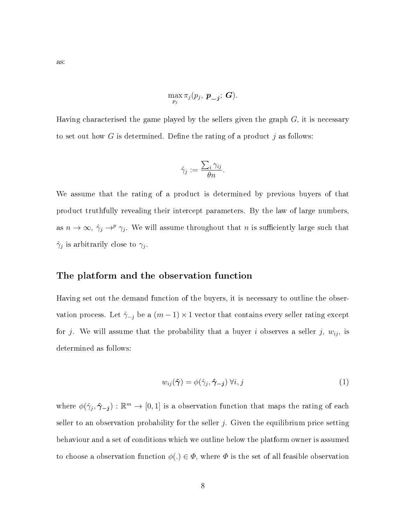$$
\max_{p_j} \pi_j(p_j, \; \boldsymbol{p_{-j}}; \; \boldsymbol{G}).
$$

Having characterised the game played by the sellers given the graph  $G$ , it is necessary to set out how G is determined. Define the rating of a product  $j$  as follows:

$$
\hat{\gamma}_j := \frac{\sum_i \gamma_{ij}}{\theta n}.
$$

We assume that the rating of a product is determined by previous buyers of that product truthfully revealing their intercept parameters. By the law of large numbers, as  $n \to \infty$ ,  $\hat{\gamma}_j \to^p \gamma_j$ . We will assume throughout that n is sufficiently large such that  $\hat{\gamma}_j$  is arbitrarily close to  $\gamma_j$ .

#### The platform and the observation function

Having set out the demand function of the buyers, it is necessary to outline the observation process. Let  $\hat{\gamma}_{-j}$  be a  $(m-1) \times 1$  vector that contains every seller rating except for j. We will assume that the probability that a buyer i observes a seller j,  $w_{ij}$ , is determined as follows:

$$
w_{ij}(\hat{\boldsymbol{\gamma}}) = \phi(\hat{\gamma}_j, \hat{\boldsymbol{\gamma}}_{-j}) \,\forall i, j \tag{1}
$$

where  $\phi(\hat{\gamma}_j, \hat{\gamma}_{-j}) : \mathbb{R}^m \to [0, 1]$  is a observation function that maps the rating of each seller to an observation probability for the seller  $j$ . Given the equilibrium price setting behaviour and a set of conditions which we outline below the platform owner is assumed to choose a observation function  $\phi(.) \in \Phi$ , where  $\Phi$  is the set of all feasible observation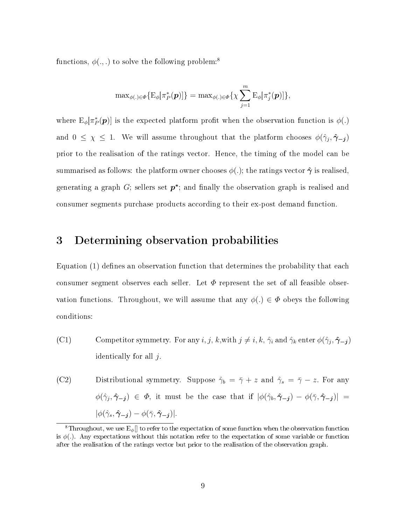functions,  $\phi(.,.)$  to solve the following problem:<sup>8</sup>

$$
\mathrm{max}_{\phi(.)\in\Phi}\{\mathrm{E}_{\phi}[\pi^*_{P}(\boldsymbol{p})]\}=\mathrm{max}_{\phi(.)\in\Phi}\{\chi\sum_{j=1}^{m}\mathrm{E}_{\phi}[\pi^*_{j}(\boldsymbol{p})]\},
$$

where  $E_{\phi}[\pi_P^*(p)]$  is the expected platform profit when the observation function is  $\phi(.)$ and  $0 \leq \chi \leq 1$ . We will assume throughout that the platform chooses  $\phi(\hat{\gamma}_j, \hat{\gamma}_{-j})$ prior to the realisation of the ratings vector. Hence, the timing of the model can be summarised as follows: the platform owner chooses  $\phi(.)$ ; the ratings vector  $\hat{\gamma}$  is realised. generating a graph  $G$ ; sellers set  $p^*$ ; and finally the observation graph is realised and consumer segments purchase products according to their ex-post demand function.

# 3 Determining observation probabilities

Equation  $(1)$  defines an observation function that determines the probability that each consumer segment observes each seller. Let  $\Phi$  represent the set of all feasible observation functions. Throughout, we will assume that any  $\phi(.) \in \Phi$  obeys the following conditions:

(C1) Competitor symmetry. For any  $i, j, k$ , with  $j \neq i, k, \hat{\gamma}_i$  and  $\hat{\gamma}_k$  enter  $\phi(\hat{\gamma}_j, \hat{\gamma}_{-j})$ identically for all  $j$ .

(C2) Distributional symmetry. Suppose  $\hat{\gamma}_b = \bar{\gamma} + z$  and  $\hat{\gamma}_s = \bar{\gamma} - z$ . For any  $\phi(\hat{\gamma}_j, \hat{\gamma}_{-j}) \in \Phi$ , it must be the case that if  $|\phi(\hat{\gamma}_b, \hat{\gamma}_{-j}) - \phi(\bar{\gamma}, \hat{\gamma}_{-j})|$  $|\phi(\hat{\gamma}_s, \hat{\boldsymbol{\gamma}}_{-j}) - \phi(\bar{\gamma}, \hat{\boldsymbol{\gamma}}_{-j})|.$ 

<sup>&</sup>lt;sup>8</sup>Throughout, we use  $E_{\phi}$ ] to refer to the expectation of some function when the observation function is  $\phi(.)$ . Any expectations without this notation refer to the expectation of some variable or function after the realisation of the ratings vector but prior to the realisation of the observation graph.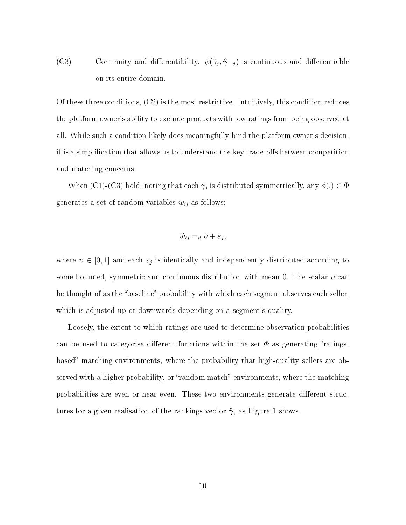(C3) Continuity and differentibility.  $\phi(\hat{\gamma}_j, \hat{\gamma}_{-j})$  is continuous and differentiable on its entire domain.

Of these three conditions, (C2) is the most restrictive. Intuitively, this condition reduces the platform owner's ability to exclude products with low ratings from being observed at all. While such a condition likely does meaningfully bind the platform owner's decision, it is a simplification that allows us to understand the key trade-offs between competition and matching concerns.

When (C1)-(C3) hold, noting that each  $\gamma_j$  is distributed symmetrically, any  $\phi(.) \in \Phi$ generates a set of random variables  $\tilde{w}_{ij}$  as follows:

$$
\tilde{w}_{ij} =_d v + \varepsilon_j,
$$

where  $v \in [0,1]$  and each  $\varepsilon_j$  is identically and independently distributed according to some bounded, symmetric and continuous distribution with mean 0. The scalar  $v$  can be thought of as the "baseline" probability with which each segment observes each seller, which is adjusted up or downwards depending on a segment's quality.

Loosely, the extent to which ratings are used to determine observation probabilities can be used to categorise different functions within the set  $\Phi$  as generating "ratingsbased" matching environments, where the probability that high-quality sellers are observed with a higher probability, or "random match" environments, where the matching probabilities are even or near even. These two environments generate different structures for a given realisation of the rankings vector  $\hat{\gamma}$ , as Figure 1 shows.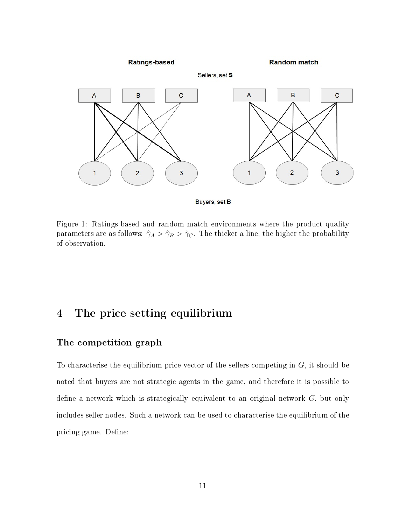

Buyers, set B

Figure 1: Ratings-based and random match environments where the product quality parameters are as follows:  $\hat{\gamma}_A > \hat{\gamma}_B > \hat{\gamma}_C$ . The thicker a line, the higher the probability of observation.

# 4 The price setting equilibrium

### The competition graph

To characterise the equilibrium price vector of the sellers competing in  $G$ , it should be noted that buyers are not strategic agents in the game, and therefore it is possible to define a network which is strategically equivalent to an original network  $G$ , but only includes seller nodes. Such a network can be used to characterise the equilibrium of the pricing game. Define: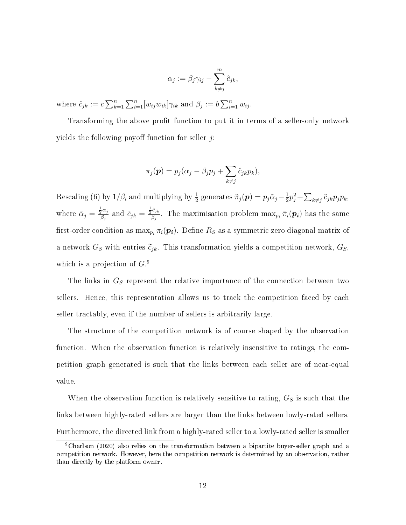$$
\alpha_j := \beta_j \gamma_{ij} - \sum_{k \neq j}^m \hat{c}_{jk},
$$

where  $\hat{c}_{jk} := c \sum_{k=1}^n \sum_{i=1}^n [w_{ij}w_{ik}] \gamma_{ik}$  and  $\beta_j := b \sum_{i=1}^n w_{ij}$ .

Transforming the above profit function to put it in terms of a seller-only network yields the following payoff function for seller  $j$ :

$$
\pi_j(\boldsymbol{p}) = p_j(\alpha_j - \beta_j p_j + \sum_{k \neq j} \hat{c}_{jk} p_k),
$$

Rescaling (6) by  $1/\beta_i$  and multiplying by  $\frac{1}{2}$  generates  $\tilde{\pi}_j(\bm{p}) = p_j \tilde{\alpha}_j - \frac{1}{2}$  $\frac{1}{2}p_j^2 + \sum_{k \neq j} \tilde{c}_{jk}p_jp_k,$ where  $\tilde{\alpha}_j = \frac{\frac{1}{2} \alpha_j}{\beta_i}$  $\frac{\frac{1}{2}\alpha_j}{\beta_j}$  and  $\tilde{c}_{jk} = \frac{\frac{1}{2}\hat{c}_{jk}}{\beta_j}$  $\frac{\partial c_{jk}}{\partial j}$ . The maximisation problem  $\max_{p_i} \tilde{\pi}_i(p_i)$  has the same first-order condition as  $\max_{p_i} \pi_i(p_i)$ . Define  $R_S$  as a symmetric zero diagonal matrix of a network  $G_S$  with entries  $\tilde{c}_{jk}$ . This transformation yields a competition network,  $G_S$ , which is a projection of  $G$ .<sup>9</sup>

The links in  $G<sub>S</sub>$  represent the relative importance of the connection between two sellers. Hence, this representation allows us to track the competition faced by each seller tractably, even if the number of sellers is arbitrarily large.

The structure of the competition network is of course shaped by the observation function. When the observation function is relatively insensitive to ratings, the competition graph generated is such that the links between each seller are of near-equal value.

When the observation function is relatively sensitive to rating,  $G_S$  is such that the links between highly-rated sellers are larger than the links between lowly-rated sellers. Furthermore, the directed link from a highly-rated seller to a lowly-rated seller is smaller

<sup>9</sup>Charlson (2020) also relies on the transformation between a bipartite buyer-seller graph and a competition network. However, here the competition network is determined by an observation, rather than directly by the platform owner.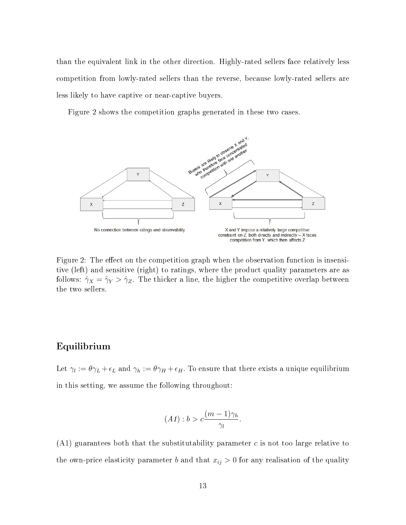than the equivalent link in the other direction. Highly-rated sellers face relatively less competition from lowly-rated sellers than the reverse, because lowly-rated sellers are less likely to have captive or near-captive buyers.

Figure 2 shows the competition graphs generated in these two cases.



Figure 2: The effect on the competition graph when the observation function is insensitive (left) and sensitive (right) to ratings, where the product quality parameters are as follows:  $\hat{\gamma}_X = \hat{\gamma}_Y > \hat{\gamma}_Z$ . The thicker a line, the higher the competitive overlap between the two sellers.

#### Equilibrium

Let  $\gamma_l := \theta \gamma_L + \epsilon_L$  and  $\gamma_h := \theta \gamma_H + \epsilon_H$ . To ensure that there exists a unique equilibrium in this setting, we assume the following throughout:

$$
(A1): b > c \frac{(m-1)\gamma_h}{\gamma_l}.
$$

 $(A1)$  guarantees both that the substitutability parameter c is not too large relative to the own-price elasticity parameter b and that  $x_{ij} > 0$  for any realisation of the quality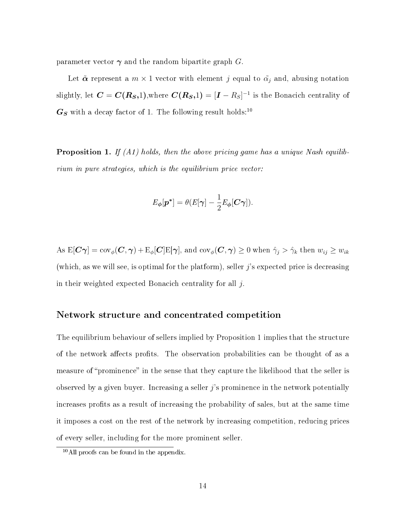parameter vector  $\gamma$  and the random bipartite graph G.

Let  $\tilde{\boldsymbol{\alpha}}$  represent a  $m \times 1$  vector with element j equal to  $\tilde{\alpha}_j$  and, abusing notation slightly, let  $\bm{C} = \bm{C}(\bm{R_S},1),$ where  $\bm{C}(\bm{R_S},1) = [\bm{I}-R_S]^{-1}$  is the Bonacich centrality of  $G_S$  with a decay factor of 1. The following result holds:<sup>10</sup>

**Proposition 1.** If  $(A1)$  holds, then the above pricing game has a unique Nash equilibrium in pure strategies, which is the equilibrium price vector:

$$
E_{\boldsymbol{\phi}}[\boldsymbol{p}^*] = \theta(E[\boldsymbol{\gamma}] - \frac{1}{2}E_{\boldsymbol{\phi}}[\boldsymbol{C}\boldsymbol{\gamma}]).
$$

As  $E[\mathbf{C}\boldsymbol{\gamma}] = \text{cov}_{\phi}(\mathbf{C}, \boldsymbol{\gamma}) + E_{\phi}[\mathbf{C}]E[\boldsymbol{\gamma}],$  and  $\text{cov}_{\phi}(\mathbf{C}, \boldsymbol{\gamma}) \geq 0$  when  $\hat{\gamma}_j > \hat{\gamma}_k$  then  $w_{ij} \geq w_{ik}$ (which, as we will see, is optimal for the platform), seller  $j$ 's expected price is decreasing in their weighted expected Bonacich centrality for all  $i$ .

#### Network structure and concentrated competition

The equilibrium behaviour of sellers implied by Proposition 1 implies that the structure of the network affects profits. The observation probabilities can be thought of as a measure of "prominence" in the sense that they capture the likelihood that the seller is observed by a given buyer. Increasing a seller  $\hat{j}$ 's prominence in the network potentially increases profits as a result of increasing the probability of sales, but at the same time it imposes a cost on the rest of the network by increasing competition, reducing prices of every seller, including for the more prominent seller.

<sup>10</sup>All proofs can be found in the appendix.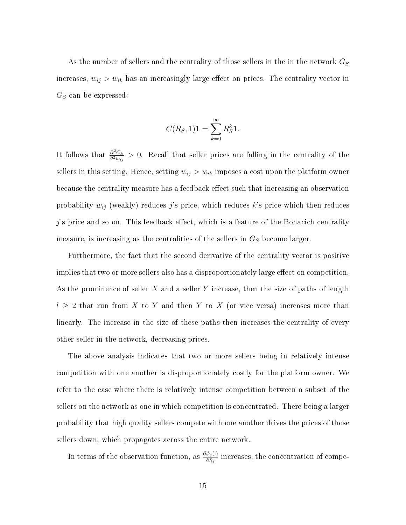As the number of sellers and the centrality of those sellers in the in the network  $G_S$ increases,  $w_{ij} > w_{ik}$  has an increasingly large effect on prices. The centrality vector in  $G_S$  can be expressed:

$$
C(R_S, 1)\mathbf{1} = \sum_{k=0}^{\infty} R_S^k \mathbf{1}.
$$

It follows that  $\frac{\partial^2 C_k}{\partial^2 w}$  $\frac{\partial^2 C_k}{\partial^2 w_{ij}} > 0$ . Recall that seller prices are falling in the centrality of the sellers in this setting. Hence, setting  $w_{ij} > w_{ik}$  imposes a cost upon the platform owner because the centrality measure has a feedback effect such that increasing an observation probability  $w_{ij}$  (weakly) reduces j's price, which reduces k's price which then reduces  $j$ 's price and so on. This feedback effect, which is a feature of the Bonacich centrality measure, is increasing as the centralities of the sellers in  $G<sub>S</sub>$  become larger.

Furthermore, the fact that the second derivative of the centrality vector is positive implies that two or more sellers also has a disproportionately large effect on competition. As the prominence of seller  $X$  and a seller Y increase, then the size of paths of length  $l \geq 2$  that run from X to Y and then Y to X (or vice versa) increases more than linearly. The increase in the size of these paths then increases the centrality of every other seller in the network, decreasing prices.

The above analysis indicates that two or more sellers being in relatively intense competition with one another is disproportionately costly for the platform owner. We refer to the case where there is relatively intense competition between a subset of the sellers on the network as one in which competition is concentrated. There being a larger probability that high quality sellers compete with one another drives the prices of those sellers down, which propagates across the entire network.

In terms of the observation function, as  $\frac{\partial \phi_j(.)}{\partial \hat{\gamma}_j}$  increases, the concentration of compe-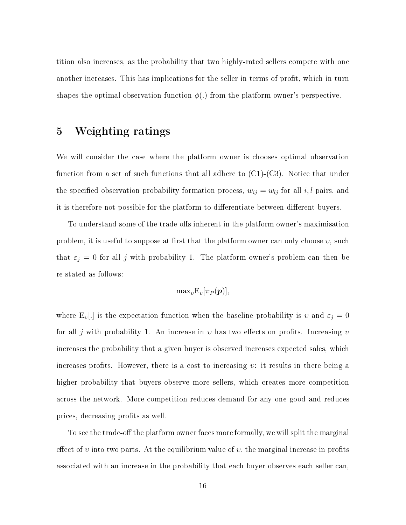tition also increases, as the probability that two highly-rated sellers compete with one another increases. This has implications for the seller in terms of profit, which in turn shapes the optimal observation function  $\phi(.)$  from the platform owner's perspective.

# 5 Weighting ratings

We will consider the case where the platform owner is chooses optimal observation function from a set of such functions that all adhere to  $(C1)-(C3)$ . Notice that under the specified observation probability formation process,  $w_{ij} = w_{lj}$  for all i, l pairs, and it is therefore not possible for the platform to differentiate between different buyers.

To understand some of the trade-offs inherent in the platform owner's maximisation problem, it is useful to suppose at first that the platform owner can only choose  $v$ , such that  $\varepsilon_j = 0$  for all j with probability 1. The platform owner's problem can then be re-stated as follows:

$$
\text{max}_v \text{E}_v[\pi_P(\bm{p})],
$$

where  $E_v$ [.] is the expectation function when the baseline probability is v and  $\varepsilon_j = 0$ for all j with probability 1. An increase in v has two effects on profits. Increasing v increases the probability that a given buyer is observed increases expected sales, which increases profits. However, there is a cost to increasing  $v$ : it results in there being a higher probability that buyers observe more sellers, which creates more competition across the network. More competition reduces demand for any one good and reduces prices, decreasing profits as well.

To see the trade-off the platform owner faces more formally, we will split the marginal effect of v into two parts. At the equilibrium value of v, the marginal increase in profits associated with an increase in the probability that each buyer observes each seller can,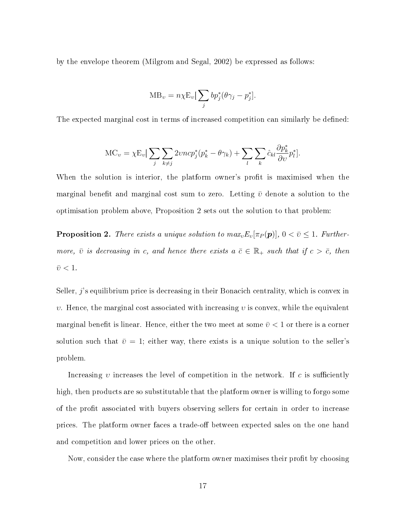by the envelope theorem (Milgrom and Segal, 2002) be expressed as follows:

$$
MB_v = n\chi E_v \left[\sum_j bp_j^*(\theta \gamma_j - p_j^*)\right].
$$

The expected marginal cost in terms of increased competition can similarly be defined:

$$
MC_v = \chi E_v \left[\sum_j \sum_{k \neq j} 2vncp_j^*(p_k^* - \theta \gamma_k) + \sum_l \sum_k \hat{c}_{kl} \frac{\partial p_k^*}{\partial v} p_l^*\right].
$$

When the solution is interior, the platform owner's profit is maximised when the marginal benefit and marginal cost sum to zero. Letting  $\bar{v}$  denote a solution to the optimisation problem above, Proposition 2 sets out the solution to that problem:

**Proposition 2.** There exists a unique solution to  $max_v E_v[\pi_P(\boldsymbol{p})], 0 < \bar{v} \leq 1$ . Furthermore,  $\bar{v}$  is decreasing in c, and hence there exists  $a \bar{c} \in \mathbb{R}_+$  such that if  $c > \bar{c}$ , then  $\bar{v} < 1$ .

Seller,  $j$ 's equilibrium price is decreasing in their Bonacich centrality, which is convex in *v*. Hence, the marginal cost associated with increasing *v* is convex, while the equivalent marginal benefit is linear. Hence, either the two meet at some  $\bar{v} < 1$  or there is a corner solution such that  $\bar{v} = 1$ ; either way, there exists is a unique solution to the seller's problem.

Increasing  $v$  increases the level of competition in the network. If  $c$  is sufficiently high, then products are so substitutable that the platform owner is willing to forgo some of the profit associated with buyers observing sellers for certain in order to increase prices. The platform owner faces a trade-off between expected sales on the one hand and competition and lower prices on the other.

Now, consider the case where the platform owner maximises their profit by choosing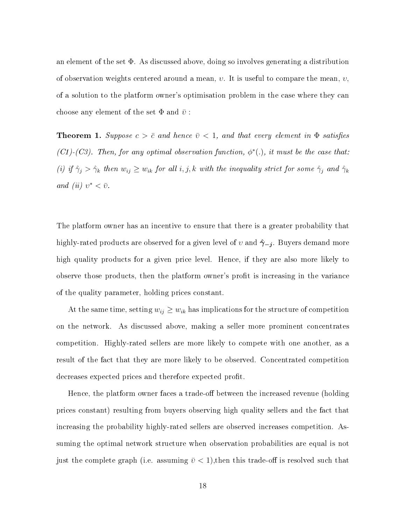an element of the set Φ. As discussed above, doing so involves generating a distribution of observation weights centered around a mean,  $v$ . It is useful to compare the mean,  $v$ , of a solution to the platform owner's optimisation problem in the case where they can choose any element of the set  $\Phi$  and  $\bar{v}$ :

**Theorem 1.** Suppose  $c > \bar{c}$  and hence  $\bar{v} < 1$ , and that every element in  $\Phi$  satisfies (C1)-(C3). Then, for any optimal observation function,  $\phi^*(.)$ , it must be the case that: (i) if  $\hat{\gamma}_j > \hat{\gamma}_k$  then  $w_{ij} \ge w_{ik}$  for all i, j, k with the inequality strict for some  $\hat{\gamma}_j$  and  $\hat{\gamma}_k$ and (ii)  $v^* < \bar{v}$ .

The platform owner has an incentive to ensure that there is a greater probability that highly-rated products are observed for a given level of  $v$  and  $\hat{\gamma}_{-j}$ . Buyers demand more high quality products for a given price level. Hence, if they are also more likely to observe those products, then the platform owner's profit is increasing in the variance of the quality parameter, holding prices constant.

At the same time, setting  $w_{ij} \geq w_{ik}$  has implications for the structure of competition on the network. As discussed above, making a seller more prominent concentrates competition. Highly-rated sellers are more likely to compete with one another, as a result of the fact that they are more likely to be observed. Concentrated competition decreases expected prices and therefore expected profit.

Hence, the platform owner faces a trade-off between the increased revenue (holding prices constant) resulting from buyers observing high quality sellers and the fact that increasing the probability highly-rated sellers are observed increases competition. Assuming the optimal network structure when observation probabilities are equal is not just the complete graph (i.e. assuming  $\bar{v}$  < 1), then this trade-off is resolved such that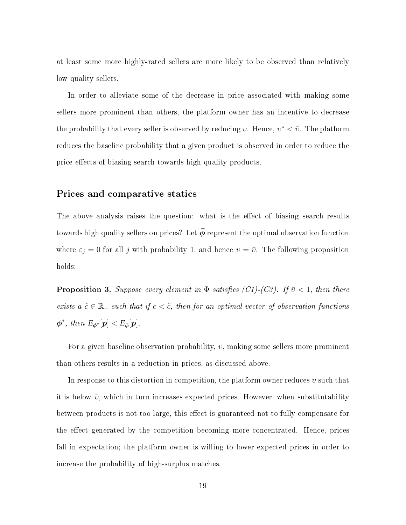at least some more highly-rated sellers are more likely to be observed than relatively low quality sellers.

In order to alleviate some of the decrease in price associated with making some sellers more prominent than others, the platform owner has an incentive to decrease the probability that every seller is observed by reducing v. Hence,  $v^* < \bar{v}$ . The platform reduces the baseline probability that a given product is observed in order to reduce the price effects of biasing search towards high quality products.

#### Prices and comparative statics

The above analysis raises the question: what is the effect of biasing search results towards high quality sellers on prices? Let  $\bar{\phi}$  represent the optimal observation function where  $\varepsilon_j = 0$  for all j with probability 1, and hence  $v = \bar{v}$ . The following proposition holds:

**Proposition 3.** Suppose every element in  $\Phi$  satisfies (C1)-(C3). If  $\bar{v}$  < 1, then there exists  $a \tilde{c} \in \mathbb{R}_+$  such that if  $c < \tilde{c}$ , then for an optimal vector of observation functions  $\boldsymbol{\phi}^*$ , then  $E_{\boldsymbol{\phi}^*}[\boldsymbol{p}] < E_{\bar{\boldsymbol{\phi}}}[\boldsymbol{p}]$ .

For a given baseline observation probability,  $v$ , making some sellers more prominent than others results in a reduction in prices, as discussed above.

In response to this distortion in competition, the platform owner reduces  $v$  such that it is below  $\bar{v}$ , which in turn increases expected prices. However, when substitutability between products is not too large, this effect is guaranteed not to fully compensate for the effect generated by the competition becoming more concentrated. Hence, prices fall in expectation; the platform owner is willing to lower expected prices in order to increase the probability of high-surplus matches.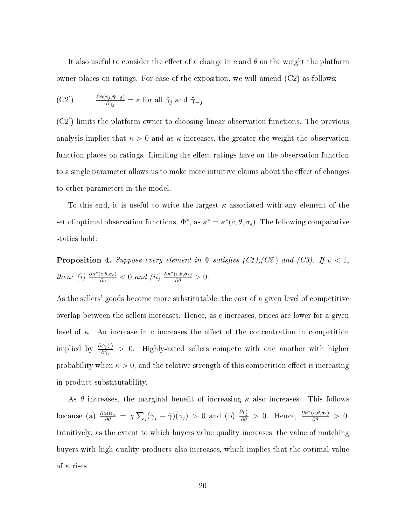It also useful to consider the effect of a change in c and  $\theta$  on the weight the platform owner places on ratings. For ease of the exposition, we will amend (C2) as follows:

(C2') 
$$
\frac{\partial \phi(\hat{\gamma}_j, \hat{\gamma}_{-j})}{\partial \hat{\gamma}_j} = \kappa \text{ for all } \hat{\gamma}_j \text{ and } \hat{\gamma}_{-j}.
$$

 $(C2')$  limits the platform owner to choosing linear observation functions. The previous analysis implies that  $\kappa > 0$  and as  $\kappa$  increases, the greater the weight the observation function places on ratings. Limiting the effect ratings have on the observation function to a single parameter allows us to make more intuitive claims about the effect of changes to other parameters in the model.

To this end, it is useful to write the largest  $\kappa$  associated with any element of the set of optimal observation functions,  $\Phi^*$ , as  $\kappa^* = \kappa^*(c, \theta, \sigma_{\epsilon})$ . The following comparative statics hold:

**Proposition 4.** Suppose every element in  $\Phi$  satisfies (C1), (C2) and (C3). If  $\bar{v} < 1$ , then: (i)  $\frac{\partial \kappa^*(c,\theta,\sigma_{\epsilon})}{\partial c} < 0$  and (ii)  $\frac{\partial \kappa^*(c,\theta,\sigma_{\epsilon})}{\partial \theta} > 0$ .

As the sellers' goods become more substitutable, the cost of a given level of competitive overlap between the sellers increases. Hence, as c increases, prices are lower for a given level of  $\kappa$ . An increase in c increases the effect of the concentration in competition implied by  $\frac{\partial \phi_j(.)}{\partial \hat{\gamma}_j} > 0$ . Highly-rated sellers compete with one another with higher probability when  $\kappa > 0$ , and the relative strength of this competition effect is increasing in product substitutability.

As  $\theta$  increases, the marginal benefit of increasing  $\kappa$  also increases. This follows because (a)  $\frac{\partial MB_{\kappa}}{\partial \theta} = \chi \sum_j (\hat{\gamma}_j - \bar{\gamma})(\gamma_j) > 0$  and (b)  $\frac{\partial p_j^*}{\partial \theta} > 0$ . Hence,  $\frac{\partial \kappa^*(c, \theta, \sigma_{\epsilon})}{\partial \theta} > 0$ . Intuitively, as the extent to which buyers value quality increases, the value of matching buyers with high quality products also increases, which implies that the optimal value of  $\kappa$  rises.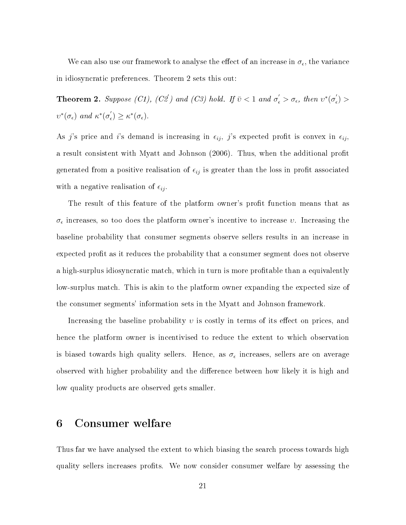We can also use our framework to analyse the effect of an increase in  $\sigma_{\epsilon}$ , the variance in idiosyncratic preferences. Theorem 2 sets this out:

**Theorem 2.** Suppose (C1), (C2') and (C3) hold. If  $\bar{v} < 1$  and  $\sigma_{\epsilon} > \sigma_{\epsilon}$ , then  $v^*(\sigma_{\epsilon}^{\prime})$  $\zeta_{\epsilon}^{'} ) >$  $v^*(\sigma_{\epsilon})$  and  $\kappa^*(\sigma'_{\epsilon})$  $\kappa_{\epsilon}'$ )  $\geq \kappa^*(\sigma_{\epsilon}).$ 

As j's price and i's demand is increasing in  $\epsilon_{ij}$ , j's expected profit is convex in  $\epsilon_{ij}$ , a result consistent with Myatt and Johnson (2006). Thus, when the additional profit generated from a positive realisation of  $\epsilon_{ij}$  is greater than the loss in profit associated with a negative realisation of  $\epsilon_{ij}$ .

The result of this feature of the platform owner's profit function means that as  $\sigma_{\epsilon}$  increases, so too does the platform owner's incentive to increase  $v$ . Increasing the baseline probability that consumer segments observe sellers results in an increase in expected profit as it reduces the probability that a consumer segment does not observe a high-surplus idiosyncratic match, which in turn is more profitable than a equivalently low-surplus match. This is akin to the platform owner expanding the expected size of the consumer segments' information sets in the Myatt and Johnson framework.

Increasing the baseline probability  $v$  is costly in terms of its effect on prices, and hence the platform owner is incentivised to reduce the extent to which observation is biased towards high quality sellers. Hence, as  $\sigma_\epsilon$  increases, sellers are on average observed with higher probability and the difference between how likely it is high and low quality products are observed gets smaller.

## 6 Consumer welfare

Thus far we have analysed the extent to which biasing the search process towards high quality sellers increases profits. We now consider consumer welfare by assessing the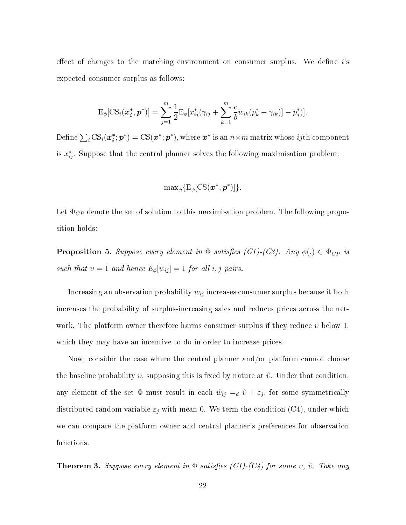effect of changes to the matching environment on consumer surplus. We define  $i$ 's expected consumer surplus as follows:

$$
\mathrm{E}_{\phi}[\mathrm{CS}_{i}(\bm{x}_{\bm{i}}^*,\bm{p}^*)] = \sum_{j=1}^{m} \frac{1}{2} \mathrm{E}_{\phi}[x_{ij}^*(\gamma_{ij} + \sum_{k=1}^{m} \frac{c}{b} w_{ik}(p_k^* - \gamma_{ik})] - p_j^*].
$$

Define  $\sum_i \text{CS}_i(\boldsymbol{x_i^*})$  $\bm{x}_i^*; \bm{p}^*) = \text{CS}(\bm{x}^*; \bm{p}^*),$  where  $\bm{x}^*$  is an  $n \times m$  matrix whose  $ij\text{th component}$ is  $x_{ij}^*$ . Suppose that the central planner solves the following maximisation problem:

$$
\text{max}_{\phi} \{ \text{E}_{\phi}[\text{CS}(\bm x^*, \bm p^*)] \}.
$$

Let  $\Phi_{CP}$  denote the set of solution to this maximisation problem. The following proposition holds:

**Proposition 5.** Suppose every element in  $\Phi$  satisfies (C1)-(C3). Any  $\phi(.) \in \Phi_{CP}$  is such that  $v = 1$  and hence  $E_{\phi}[w_{ij}] = 1$  for all i, j pairs.

Increasing an observation probability  $w_{ij}$  increases consumer surplus because it both increases the probability of surplus-increasing sales and reduces prices across the network. The platform owner therefore harms consumer surplus if they reduce  $\upsilon$  below 1, which they may have an incentive to do in order to increase prices.

Now, consider the case where the central planner and/or platform cannot choose the baseline probability v, supposing this is fixed by nature at  $\hat{v}$ . Under that condition, any element of the set  $\Phi$  must result in each  $\tilde{w}_{ij} =_d \hat{v} + \varepsilon_j$ , for some symmetrically distributed random variable  $\varepsilon_j$  with mean 0. We term the condition (C4), under which we can compare the platform owner and central planner's preferences for observation functions.

**Theorem 3.** Suppose every element in  $\Phi$  satisfies (C1)-(C4) for some v,  $\hat{v}$ . Take any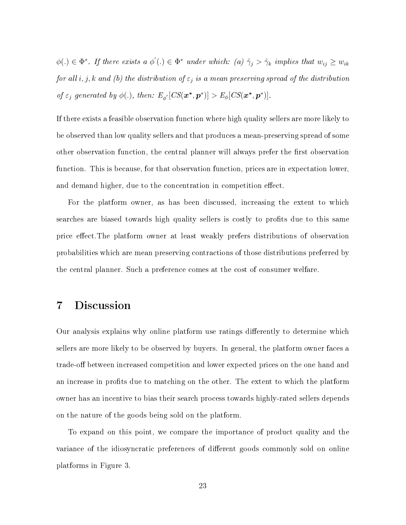$\phi(.) \in \Phi^*$ . If there exists  $a \phi(.) \in \Phi^*$  under which:  $(a) \hat{\gamma}_j > \hat{\gamma}_k$  implies that  $w_{ij} \geq w_{ik}$ for all  $i, j, k$  and (b) the distribution of  $\varepsilon_j$  is a mean preserving spread of the distribution of  $\varepsilon_j$  generated by  $\phi(.)$ , then:  $E_{\phi'}[CS(\boldsymbol{x^*, p^*})] > E_{\phi}[CS(\boldsymbol{x^*, p^*})]$ .

If there exists a feasible observation function where high quality sellers are more likely to be observed than low quality sellers and that produces a mean-preserving spread of some other observation function, the central planner will always prefer the first observation function. This is because, for that observation function, prices are in expectation lower, and demand higher, due to the concentration in competition effect.

For the platform owner, as has been discussed, increasing the extent to which searches are biased towards high quality sellers is costly to profits due to this same price effect. The platform owner at least weakly prefers distributions of observation probabilities which are mean preserving contractions of those distributions preferred by the central planner. Such a preference comes at the cost of consumer welfare.

# 7 Discussion

Our analysis explains why online platform use ratings differently to determine which sellers are more likely to be observed by buyers. In general, the platform owner faces a trade-off between increased competition and lower expected prices on the one hand and an increase in profits due to matching on the other. The extent to which the platform owner has an incentive to bias their search process towards highly-rated sellers depends on the nature of the goods being sold on the platform.

To expand on this point, we compare the importance of product quality and the variance of the idiosyncratic preferences of different goods commonly sold on online platforms in Figure 3.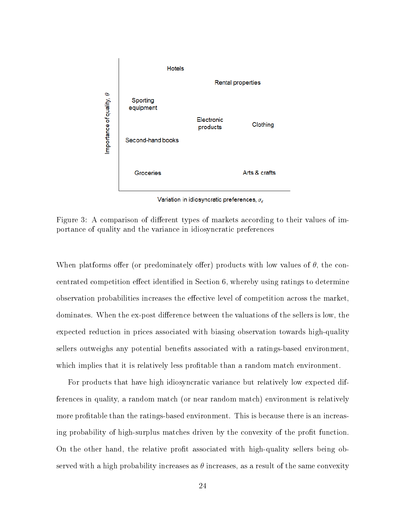

Variation in idiosyncratic preferences,  $\sigma_{\epsilon}$ 

Figure 3: A comparison of different types of markets according to their values of importance of quality and the variance in idiosyncratic preferences

When platforms offer (or predominately offer) products with low values of  $\theta$ , the concentrated competition effect identified in Section 6, whereby using ratings to determine observation probabilities increases the effective level of competition across the market, dominates. When the ex-post difference between the valuations of the sellers is low, the expected reduction in prices associated with biasing observation towards high-quality sellers outweighs any potential benefits associated with a ratings-based environment, which implies that it is relatively less profitable than a random match environment.

For products that have high idiosyncratic variance but relatively low expected differences in quality, a random match (or near random match) environment is relatively more profitable than the ratings-based environment. This is because there is an increasing probability of high-surplus matches driven by the convexity of the profit function. On the other hand, the relative profit associated with high-quality sellers being observed with a high probability increases as  $\theta$  increases, as a result of the same convexity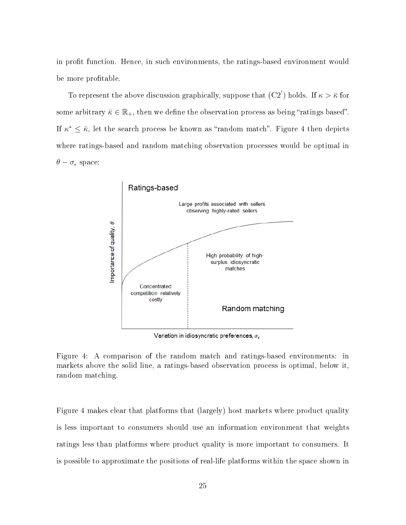in profit function. Hence, in such environments, the ratings-based environment would be more profitable.

To represent the above discussion graphically, suppose that  $(C2')$  holds. If  $\kappa > \bar{\kappa}$  for some arbitrary  $\bar{\kappa} \in \mathbb{R}_+$ , then we define the observation process as being "ratings based". If  $\kappa^* \leq \bar{\kappa}$ , let the search process be known as "random match". Figure 4 then depicts where ratings-based and random matching observation processes would be optimal in  $\theta - \sigma_{\epsilon}$  space:



Variation in idiosyncratic preferences,  $\sigma_\epsilon$ 

Figure 4: A comparison of the random match and ratings-based environments: in markets above the solid line, a ratings-based observation process is optimal, below it, random matching.

Figure 4 makes clear that platforms that (largely) host markets where product quality is less important to consumers should use an information environment that weights ratings less than platforms where product quality is more important to consumers. It is possible to approximate the positions of real-life platforms within the space shown in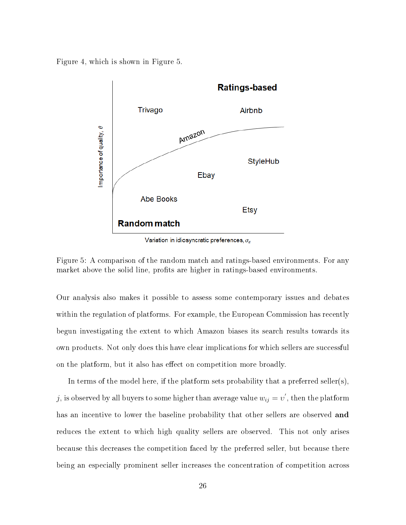Figure 4, which is shown in Figure 5.



Variation in idiosyncratic preferences,  $\sigma_\epsilon$ 

Figure 5: A comparison of the random match and ratings-based environments. For any market above the solid line, profits are higher in ratings-based environments.

Our analysis also makes it possible to assess some contemporary issues and debates within the regulation of platforms. For example, the European Commission has recently begun investigating the extent to which Amazon biases its search results towards its own products. Not only does this have clear implications for which sellers are successful on the platform, but it also has effect on competition more broadly.

In terms of the model here, if the platform sets probability that a preferred seller(s),  $j,$  is observed by all buyers to some higher than average value  $w_{ij} = \overline{v}^{\prime},$  then the platform has an incentive to lower the baseline probability that other sellers are observed **and** reduces the extent to which high quality sellers are observed. This not only arises because this decreases the competition faced by the preferred seller, but because there being an especially prominent seller increases the concentration of competition across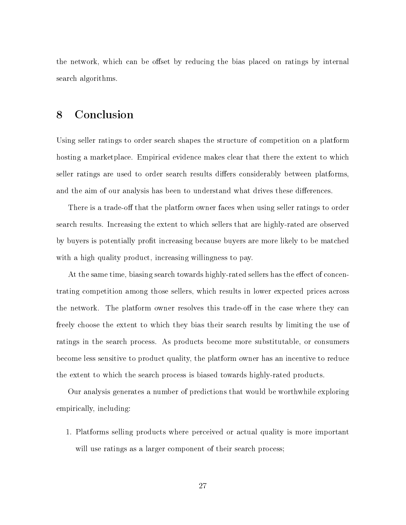the network, which can be offset by reducing the bias placed on ratings by internal search algorithms.

# 8 Conclusion

Using seller ratings to order search shapes the structure of competition on a platform hosting a marketplace. Empirical evidence makes clear that there the extent to which seller ratings are used to order search results differs considerably between platforms, and the aim of our analysis has been to understand what drives these differences.

There is a trade-off that the platform owner faces when using seller ratings to order search results. Increasing the extent to which sellers that are highly-rated are observed by buyers is potentially profit increasing because buyers are more likely to be matched with a high quality product, increasing willingness to pay.

At the same time, biasing search towards highly-rated sellers has the effect of concentrating competition among those sellers, which results in lower expected prices across the network. The platform owner resolves this trade-off in the case where they can freely choose the extent to which they bias their search results by limiting the use of ratings in the search process. As products become more substitutable, or consumers become less sensitive to product quality, the platform owner has an incentive to reduce the extent to which the search process is biased towards highly-rated products.

Our analysis generates a number of predictions that would be worthwhile exploring empirically, including:

1. Platforms selling products where perceived or actual quality is more important will use ratings as a larger component of their search process;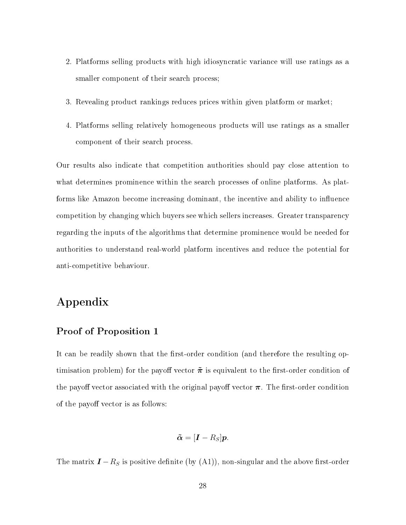- 2. Platforms selling products with high idiosyncratic variance will use ratings as a smaller component of their search process;
- 3. Revealing product rankings reduces prices within given platform or market;
- 4. Platforms selling relatively homogeneous products will use ratings as a smaller component of their search process.

Our results also indicate that competition authorities should pay close attention to what determines prominence within the search processes of online platforms. As platforms like Amazon become increasing dominant, the incentive and ability to influence competition by changing which buyers see which sellers increases. Greater transparency regarding the inputs of the algorithms that determine prominence would be needed for authorities to understand real-world platform incentives and reduce the potential for anti-competitive behaviour.

# Appendix

#### Proof of Proposition 1

It can be readily shown that the first-order condition (and therefore the resulting optimisation problem) for the payoff vector  $\tilde{\pi}$  is equivalent to the first-order condition of the payoff vector associated with the original payoff vector  $\pi$ . The first-order condition of the payoff vector is as follows:

$$
\tilde{\boldsymbol{\alpha}} = [\boldsymbol{I} - R_S] \boldsymbol{p}.
$$

The matrix  $\mathbf{I} - R_S$  is positive definite (by (A1)), non-singular and the above first-order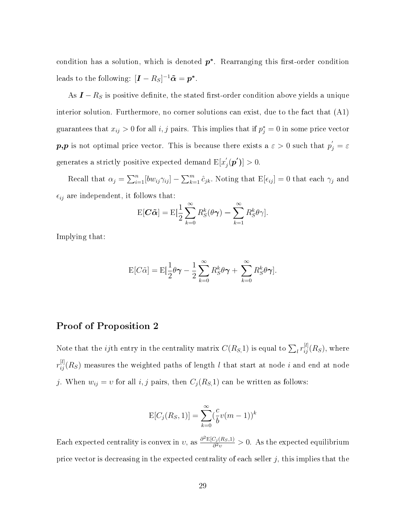condition has a solution, which is denoted  $p^*$ . Rearranging this first-order condition leads to the following:  $[\boldsymbol{I} - R_S]^{-1} \tilde{\boldsymbol{\alpha}} = \boldsymbol{p^*}.$ 

As  $I - R_S$  is positive definite, the stated first-order condition above yields a unique interior solution. Furthermore, no corner solutions can exist, due to the fact that (A1) guarantees that  $x_{ij} > 0$  for all i, j pairs. This implies that if  $p_j^* = 0$  in some price vector  $\bm{p,p}$  is not optimal price vector. This is because there exists a  $\varepsilon > 0$  such that  $p_j^{'} = \varepsilon$ generates a strictly positive expected demand  $\text{E}[x]$  $'_{j}(\boldsymbol{p}')]>0.$ 

Recall that  $\alpha_j = \sum_{i=1}^n [bw_{ij}\gamma_{ij}] - \sum_{k=1}^m \hat{c}_{jk}$ . Noting that  $E[\epsilon_{ij}] = 0$  that each  $\gamma_j$  and  $\epsilon_{ij}$  are independent, it follows that:

$$
E[\boldsymbol{C}\boldsymbol{\tilde{\alpha}}] = E[\frac{1}{2}\sum_{k=0}^{\infty}R_{S}^{k}(\theta\boldsymbol{\gamma}) - \sum_{k=1}^{\infty}R_{S}^{k}\theta\boldsymbol{\gamma}].
$$

Implying that:

$$
E[C\tilde{\alpha}] = E[\frac{1}{2}\theta\gamma - \frac{1}{2}\sum_{k=0}^{\infty} R_S^k \theta\gamma + \sum_{k=0}^{\infty} R_S^k \theta\gamma].
$$

#### Proof of Proposition 2

Note that the *ij*th entry in the centrality matrix  $C(R_S,1)$  is equal to  $\sum_l r_{ij}^{[l]}(R_S)$ , where  $r_{ij}^{[l]}(R_S)$  measures the weighted paths of length  $l$  that start at node  $i$  and end at node j. When  $w_{ij} = v$  for all i, j pairs, then  $C_j(R_S,1)$  can be written as follows:

$$
E[C_j(R_S, 1)] = \sum_{k=0}^{\infty} (\frac{c}{b}v(m-1))^k
$$

Each expected centrality is convex in  $v$ , as  $\frac{\partial^2 E[C_j(R_S,1)]}{\partial^2 v}$  $\frac{\partial^2 J(R_S,1)}{\partial^2 v} > 0$ . As the expected equilibrium price vector is decreasing in the expected centrality of each seller  $j$ , this implies that the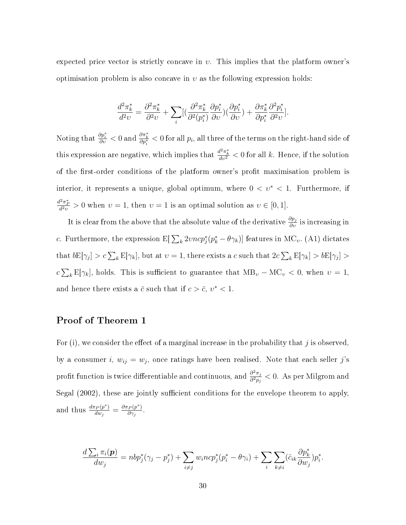expected price vector is strictly concave in  $v$ . This implies that the platform owner's optimisation problem is also concave in  $v$  as the following expression holds:

$$
\frac{d^2\pi_k^*}{d^2v} = \frac{\partial^2\pi_k^*}{\partial^2v} + \sum_i [(\frac{\partial^2\pi_k^*}{\partial^2(p_i^*)}\frac{\partial p_i^*}{\partial v})(\frac{\partial p_i^*}{\partial v}) + \frac{\partial\pi_k^*}{\partial p_i^*}\frac{\partial^2p_i^*}{\partial^2v}].
$$

Noting that  $\frac{\partial p^*_i}{\partial v} < 0$  and  $\frac{\partial \pi^*_k}{\partial p^*_i} < 0$  for all  $p_i$ , all three of the terms on the right-hand side of this expression are negative, which implies that  $\frac{d^2\pi^*_k}{dv^2} < 0$  for all k. Hence, if the solution of the first-order conditions of the platform owner's profit maximisation problem is interior, it represents a unique, global optimum, where  $0 < v^* < 1$ . Furthermore, if  $\frac{d^2\pi_P^*}{d^2v} > 0$  when  $v = 1$ , then  $v = 1$  is an optimal solution as  $v \in [0, 1]$ .

It is clear from the above that the absolute value of the derivative  $\frac{\partial p_j}{\partial v}$  is increasing in c. Furthermore, the expression  $E[\sum_k 2\nu n c p_j^*(p_k^* - \theta \gamma_k)]$  features in MC<sub>v</sub>. (A1) dictates that  $b\mathbb{E}[\gamma_j] > c\sum_k \mathbb{E}[\gamma_k]$ , but at  $v = 1$ , there exists a c such that  $2c\sum_k \mathbb{E}[\gamma_k] > b\mathbb{E}[\gamma_j] >$  $c\sum_{k} \mathbb{E}[\gamma_k]$ , holds. This is sufficient to guarantee that  $\text{MB}_v - \text{MC}_v < 0$ , when  $v = 1$ , and hence there exists a  $\bar{c}$  such that if  $c > \bar{c}$ ,  $v^* < 1$ .

### Proof of Theorem 1

For (i), we consider the effect of a marginal increase in the probability that j is observed, by a consumer i,  $w_{ij} = w_j$ , once ratings have been realised. Note that each seller j's profit function is twice differentiable and continuous, and  $\frac{\partial^2 \pi_j}{\partial n}$  $\frac{\partial^2 \pi_j}{\partial^2 p_j} < 0$ . As per Milgrom and Segal (2002), these are jointly sufficient conditions for the envelope theorem to apply, and thus  $\frac{d\pi_P(p^*)}{dw}$  $\frac{d^2P(p^*)}{d w_j} = \frac{\partial \pi_P(p^*)}{\partial \gamma_j}$  $\frac{P(p)}{\partial \gamma_j}$ .

$$
\frac{d \sum_i \pi_i(\mathbf{p})}{d w_j} = n b p_j^* (\gamma_j - p_j^*) + \sum_{i \neq j} w_i n c p_j^* (p_i^* - \theta \gamma_i) + \sum_i \sum_{k \neq i} (\hat{c}_{ik} \frac{\partial p_k^*}{\partial w_j}) p_i^*.
$$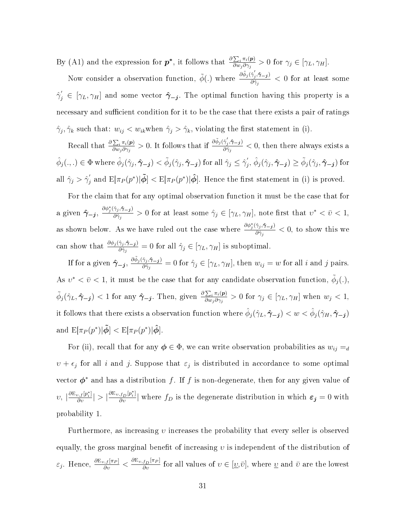By (A1) and the expression for  $p^*$ , it follows that  $\frac{\partial \sum_i \pi_i(p)}{\partial w_i \partial w_i}$  $\frac{\sum_i \pi_i(\mathbf{p})}{\partial w_j \partial \gamma_j} > 0$  for  $\gamma_j \in [\gamma_L, \gamma_H].$ 

Now consider a observation function,  $\tilde{\phi}$ (.) where  $\frac{\partial \tilde{\phi}_j(\hat{\gamma}_j,\hat{\tau}-j)}{\partial \hat{\phi}_j}$  $\frac{\partial \gamma_j}{\partial \hat{\gamma}_j}$  < 0 for at least some  $\hat{\gamma}'_j \in [\gamma_L, \gamma_H]$  and some vector  $\hat{\gamma}_{-j}$ . The optimal function having this property is a necessary and sufficient condition for it to be the case that there exists a pair of ratings  $\hat{\gamma}_j, \hat{\gamma}_k$  such that:  $w_{ij} < w_{ik}$  when  $\hat{\gamma}_j > \hat{\gamma}_k$ , violating the first statement in (i).

Recall that  $\frac{\partial \sum_i \pi_i(\mathbf{p})}{\partial w_i \partial \gamma_i}$  $\frac{\sum_i \pi_i(\boldsymbol{p})}{\partial w_j \partial \gamma_j} > 0$ . It follows that if  $\frac{\partial \tilde{\phi}_j(\hat{\gamma}_j', \hat{\tau}_{-j})}{\partial \hat{\gamma}_j}$  $\frac{\partial^2 f_j(t)-\partial f_j}{\partial \hat{\gamma}_j} < 0$ , then there always exists a  $\hat{\phi}_j(.,.)\in \Phi$  where  $\hat{\phi}_j(\hat{\gamma}_j,\hat{\boldsymbol{\gamma}}_{-j})<\tilde{\phi}_j(\hat{\gamma}_j,\hat{\boldsymbol{\gamma}}_{-j})$  for all  $\hat{\gamma}_j\leq \hat{\gamma}_j'$  $\hat{\phi}_j(\hat{\gamma}_j,\hat{\boldsymbol{\gamma}}_{-\boldsymbol{j}})\geq \tilde{\phi}_j(\hat{\gamma}_j,\hat{\boldsymbol{\gamma}}_{-\boldsymbol{j}}) \text{ for }$ all  $\hat{\gamma}_j > \hat{\gamma}_j'$  $\int_j$  and  $\mathbb{E}[\pi_P(p^*)|\tilde{\bm{\phi}}] < \mathbb{E}[\pi_P(p^*)|\hat{\bm{\phi}}].$  Hence the first statement in (i) is proved.

For the claim that for any optimal observation function it must be the case that for a given  $\hat{\gamma}_{-j}$ ,  $\frac{\partial \phi_j^*(\hat{\gamma}_j, \hat{\gamma}_{-j})}{\partial \hat{\gamma}_i}$  $\frac{\gamma_j,\gamma_{-j}}{\partial \hat{\gamma}_j} > 0$  for at least some  $\hat{\gamma}_j \in [\gamma_L,\gamma_H]$ , note first that  $v^* < \bar{v} < 1$ , as shown below. As we have ruled out the case where  $\frac{\partial \phi_j^*(\hat{\gamma}_j, \hat{\gamma}_{-j})}{\partial \hat{\gamma}_{-j}}$  $\frac{\partial \hat{\gamma}_j}{\partial \hat{\gamma}_j}$  < 0, to show this we can show that  $\frac{\partial \phi_j(\hat{\gamma}_j, \hat{\gamma}_{-j})}{\partial \hat{\gamma}_j} = 0$  for all  $\hat{\gamma}_j \in [\gamma_L, \gamma_H]$  is suboptimal.

If for a given  $\hat{\gamma}_{-j}$ ,  $\frac{\partial \tilde{\phi}_j(\hat{\gamma}_j, \hat{\gamma}_{-j})}{\partial \hat{\gamma}_i}$  $\frac{\gamma_j,\gamma_{-j}}{\partial \hat{\gamma}_j}=0$  for  $\hat{\gamma}_j \in [\gamma_L,\gamma_H],$  then  $w_{ij}=w$  for all i and j pairs. As  $v^* < \bar{v} < 1$ , it must be the case that for any candidate observation function,  $\tilde{\phi}_j(.)$ ,  $\tilde{\phi}_j(\hat{\gamma}_L, \hat{\pmb{\gamma}}_{-j}) < 1$  for any  $\hat{\pmb{\gamma}}_{-j}$ . Then, given  $\frac{\partial \sum_i \pi_i(\pmb{p})}{\partial w_i \partial \gamma_i}$  $\frac{\sum_i \pi_i(\mathbf{p})}{\partial w_j \partial \gamma_j} > 0$  for  $\gamma_j \in [\gamma_L, \gamma_H]$  when  $w_j < 1$ , it follows that there exists a observation function where  $\hat{\phi}_j(\hat{\gamma}_L, \hat{\gamma}_{-j}) < w < \hat{\phi}_j(\hat{\gamma}_H, \hat{\gamma}_{-j})$ and  $\mathrm{E}[\pi_P(p^*)|\tilde{\boldsymbol{\phi}}] < \mathrm{E}[\pi_P(p^*)|\hat{\boldsymbol{\phi}}].$ 

For (ii), recall that for any  $\phi \in \Phi$ , we can write observation probabilities as  $w_{ij} =_d$  $v + \epsilon_j$  for all i and j. Suppose that  $\epsilon_j$  is distributed in accordance to some optimal vector  $\phi^*$  and has a distribution f. If f is non-degenerate, then for any given value of  $\langle v, \frac{\partial \mathrm{E}_{v,f}[p_i^*]}{\partial v} \rangle > \frac{\partial \mathrm{E}_{v,f_D}[p_i^*]}{\partial v} \vert$  where  $f_D$  is the degenerate distribution in which  $\varepsilon_j = 0$  with probability 1.

Furthermore, as increasing v increases the probability that every seller is observed equally, the gross marginal benefit of increasing  $\nu$  is independent of the distribution of  $\varepsilon_j$ . Hence,  $\frac{\partial E_{v,f}[\pi_P]}{\partial v} < \frac{\partial E_{v,f_D}[\pi_P]}{\partial v}$  for all values of  $v \in [\underline{v},\bar{v}],$  where  $\underline{v}$  and  $\bar{v}$  are the lowest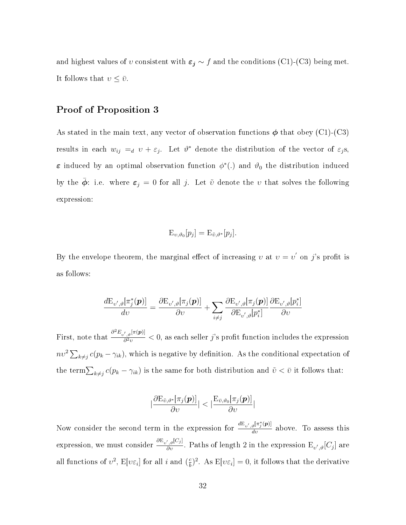and highest values of v consistent with  $\varepsilon_j \sim f$  and the conditions (C1)-(C3) being met. It follows that  $v \leq \bar{v}$ .

### Proof of Proposition 3

As stated in the main text, any vector of observation functions  $\phi$  that obey (C1)-(C3) results in each  $w_{ij} =_d v + \varepsilon_j$ . Let  $\vartheta^*$  denote the distribution of the vector of  $\varepsilon_j$ s,  $\varepsilon$  induced by an optimal observation function  $\phi^*(.)$  and  $\vartheta_0$  the distribution induced by the  $\bar{\phi}$ : i.e. where  $\varepsilon_j = 0$  for all j. Let  $\tilde{v}$  denote the v that solves the following expression:

$$
E_{\nu,\vartheta_0}[p_j] = E_{\tilde{\nu},\vartheta^*}[p_j].
$$

By the envelope theorem, the marginal effect of increasing v at  $v = v'$  on j's profit is as follows:

$$
\frac{d \mathrm{E}_{\upsilon',\vartheta}[\pi_j^*(\boldsymbol{p})]}{d \upsilon} = \frac{\partial \mathrm{E}_{\upsilon',\vartheta}[\pi_j(\boldsymbol{p})]}{\partial \upsilon} + \sum_{i \neq j} \frac{\partial \mathrm{E}_{\upsilon',\vartheta}[\pi_j(\boldsymbol{p})]}{\partial \mathrm{E}_{\upsilon',\vartheta}[p_i^*]} \frac{\partial \mathrm{E}_{\upsilon',\vartheta}[p_i^*]}{\partial \upsilon}
$$

First, note that  $\frac{\partial^2 E_{v',\vartheta}[\pi(\boldsymbol{p})]}{\partial^2 v}$  $\frac{d^2 y^{(1)}(P)}{\partial^2 v}$  < 0, as each seller j's profit function includes the expression  $nv^2\sum_{k\neq j}c(p_k-\gamma_{ik}),$  which is negative by definition. As the conditional expectation of the term  $\sum_{k\neq j} c(p_k - \gamma_{ik})$  is the same for both distribution and  $\tilde{v} < \bar{v}$  it follows that:

$$
|\frac{\partial \mathrm{E}_{\tilde{v},\vartheta^*}[\pi_j(\boldsymbol{p})]}{\partial \upsilon}| < |\frac{\mathrm{E}_{\bar{v},\vartheta_0}[\pi_j(\boldsymbol{p})]}{\partial \upsilon}|
$$

Now consider the second term in the expression for  $\frac{dE_{v',\vartheta}[\pi_j^*(p)]}{dv}$  above. To assess this expression, we must consider  $\frac{\partial \mathrm{E}_{v',\vartheta}[C_j]}{\partial v}$ . Paths of length 2 in the expression  $\mathrm{E}_{v',\vartheta}[C_j]$  are all functions of  $v^2$ ,  $E[v\varepsilon_i]$  for all i and  $(\frac{c}{b})$  $\frac{\varepsilon}{b}$ )<sup>2</sup>. As  $E[\nu \varepsilon_i] = 0$ , it follows that the derivative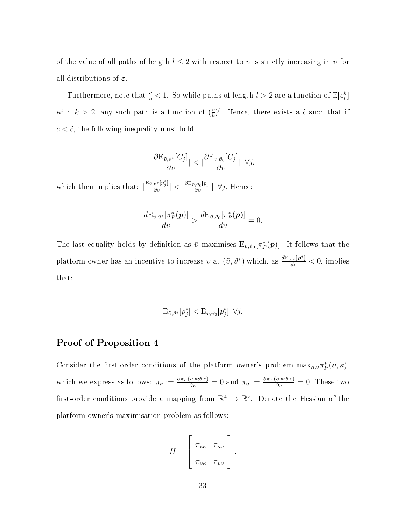of the value of all paths of length  $l \leq 2$  with respect to v is strictly increasing in v for all distributions of  $\varepsilon$ .

Furthermore, note that  $\frac{c}{b} < 1$ . So while paths of length  $l > 2$  are a function of  $\mathbb{E}[\varepsilon_i^k]$ with  $k > 2$ , any such path is a function of  $\left(\frac{c}{b}\right)$  $\frac{\varepsilon}{b}$ . Hence, there exists a  $\tilde{c}$  such that if  $c < \tilde{c}$ , the following inequality must hold:

$$
\left|\frac{\partial \mathrm{E}_{\tilde{v},\vartheta^*}[C_j]}{\partial v}\right| < \left|\frac{\partial \mathrm{E}_{\bar{v},\vartheta_0}[C_j]}{\partial v}\right| \ \forall j.
$$

which then implies that:  $\left|\frac{E_{\tilde{v},\vartheta^*}[p_j^*]}{\partial v}\right| < \left|\frac{\partial E_{\tilde{v},\vartheta_0}[p_j]}{\partial v}\right| \ \forall j$ . Hence:

$$
\frac{d \mathrm{E}_{\tilde{v},\vartheta^*}[\pi_P^*(\bm{p})]}{d v} > \frac{d \mathrm{E}_{\tilde{v},\vartheta_0}[\pi_P^*(\bm{p})]}{d v} = 0.
$$

The last equality holds by definition as  $\bar{v}$  maximises  $E_{\bar{v},\vartheta_0}[\pi_P^*(p)]$ . It follows that the platform owner has an incentive to increase v at  $(\tilde{v}, \vartheta^*)$  which, as  $\frac{dE_{v,\vartheta}[p^*]}{dv} < 0$ , implies that:

$$
\mathcal{E}_{\tilde{\upsilon},\vartheta^*}[p_j^*] < \mathcal{E}_{\bar{\upsilon},\vartheta_0}[p_j^*] \ \forall j.
$$

#### Proof of Proposition 4

Consider the first-order conditions of the platform owner's problem  $\max_{\kappa,v} \pi_P^*(v,\kappa)$ , which we express as follows:  $\pi_{\kappa} := \frac{\partial \pi_P(v,\kappa;\theta,c)}{\partial \kappa} = 0$  and  $\pi_v := \frac{\partial \pi_P(v,\kappa;\theta,c)}{\partial v} = 0$ . These two first-order conditions provide a mapping from  $\mathbb{R}^4 \to \mathbb{R}^2$ . Denote the Hessian of the platform owner's maximisation problem as follows:

$$
H = \left[ \begin{array}{cc} \pi_{\kappa\kappa} & \pi_{\kappa\upsilon} \\ \pi_{\upsilon\kappa} & \pi_{\upsilon\upsilon} \end{array} \right].
$$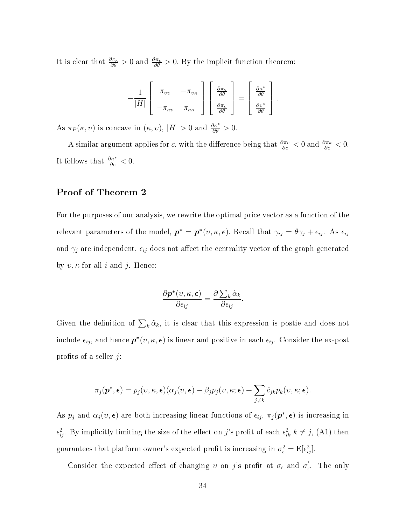It is clear that  $\frac{\partial \pi_{\kappa}}{\partial \theta} > 0$  and  $\frac{\partial \pi_{\nu}}{\partial \theta} > 0$ . By the implicit function theorem:

$$
-\frac{1}{|H|}\left[\begin{array}{cc} \pi_{\nu\nu} & -\pi_{\nu\kappa} \\ -\pi_{\kappa\nu} & \pi_{\kappa\kappa} \end{array}\right]\left[\begin{array}{c} \frac{\partial\pi_{\kappa}}{\partial\theta} \\ \frac{\partial\pi_{\nu}}{\partial\theta} \end{array}\right]=\left[\begin{array}{c} \frac{\partial\kappa^{*}}{\partial\theta} \\ \frac{\partial\upsilon^{*}}{\partial\theta} \end{array}\right].
$$

As  $\pi_P(\kappa, v)$  is concave in  $(\kappa, v), |H| > 0$  and  $\frac{\partial \kappa^*}{\partial \theta} > 0$ .

A similar argument applies for c, with the difference being that  $\frac{\partial \pi_v}{\partial c} < 0$  and  $\frac{\partial \pi_\kappa}{\partial c} < 0$ . It follows that  $\frac{\partial \kappa^*}{\partial c} < 0$ .

### Proof of Theorem 2

For the purposes of our analysis, we rewrite the optimal price vector as a function of the relevant parameters of the model,  $p^* = p^*(v, \kappa, \epsilon)$ . Recall that  $\gamma_{ij} = \theta \gamma_j + \epsilon_{ij}$ . As  $\epsilon_{ij}$ and  $\gamma_j$  are independent,  $\epsilon_{ij}$  does not affect the centrality vector of the graph generated by  $v, \kappa$  for all i and j. Hence:

$$
\frac{\partial \boldsymbol{p}^*(v,\kappa,\boldsymbol{\epsilon})}{\partial \epsilon_{ij}} = \frac{\partial \sum_k \tilde{\alpha}_k}{\partial \epsilon_{ij}}.
$$

Given the definition of  $\sum_k \tilde{\alpha}_k$ , it is clear that this expression is postie and does not include  $\epsilon_{ij}$ , and hence  $\boldsymbol{p}^*(v,\kappa,\boldsymbol{\epsilon})$  is linear and positive in each  $\epsilon_{ij}$ . Consider the ex-post profits of a seller  $j$ :

$$
\pi_j(\boldsymbol{p}^*, \boldsymbol{\epsilon}) = p_j(v, \kappa, \boldsymbol{\epsilon}) (\alpha_j(v, \boldsymbol{\epsilon}) - \beta_j p_j(v, \kappa; \boldsymbol{\epsilon}) + \sum_{j \neq k} \hat{c}_{jk} p_k(v, \kappa; \boldsymbol{\epsilon}).
$$

As  $p_j$  and  $\alpha_j(v, \epsilon)$  are both increasing linear functions of  $\epsilon_{ij}$ ,  $\pi_j(\mathbf{p}^*, \epsilon)$  is increasing in  $\epsilon_{ij}^2$ . By implicitly limiting the size of the effect on j's profit of each  $\epsilon_{ik}^2$  k  $\neq j$ , (A1) then guarantees that platform owner's expected profit is increasing in  $\sigma_{\epsilon}^2 = \mathrm{E}[\epsilon_{ij}^2]$ .

Consider the expected effect of changing v on j's profit at  $\sigma_{\epsilon}$  and  $\sigma'_{\epsilon}$  $\epsilon$ . The only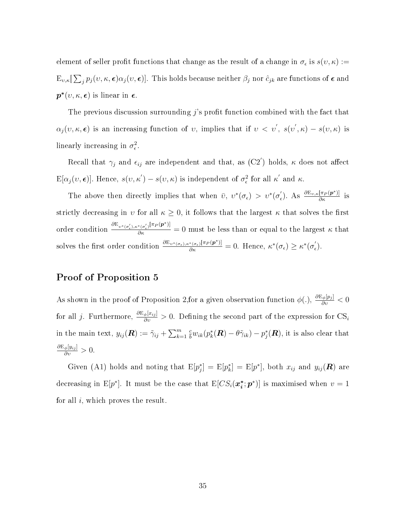element of seller profit functions that change as the result of a change in  $\sigma_{\epsilon}$  is  $s(v, \kappa) :=$  $\mathbb{E}_{v,\kappa}[\sum_j p_j(v,\kappa,\boldsymbol{\epsilon})\alpha_j(v,\boldsymbol{\epsilon})].$  This holds because neither  $\beta_j$  nor  $\hat{c}_{jk}$  are functions of  $\boldsymbol{\epsilon}$  and  $\boldsymbol{p}^{*}(v,\kappa,\boldsymbol{\epsilon})$  is linear in  $\boldsymbol{\epsilon}.$ 

The previous discussion surrounding  $\hat{\jmath}$  profit function combined with the fact that  $\alpha_j(v,\kappa,\epsilon)$  is an increasing function of v, implies that if  $v < v'$ ,  $s(v',\kappa) - s(v,\kappa)$  is linearly increasing in  $\sigma_{\epsilon}^2$ .

Recall that  $\gamma_j$  and  $\epsilon_{ij}$  are independent and that, as  $(C2^{'})$  holds,  $\kappa$  does not affect  $E[\alpha_j(\nu, \epsilon)]$ . Hence,  $s(\nu, \kappa') - s(\nu, \kappa)$  is independent of  $\sigma_{\epsilon}^2$  for all  $\kappa'$  and  $\kappa$ .

The above then directly implies that when  $\bar{v}$ ,  $v^*(\sigma_{\epsilon}) > v^*(\sigma_{\epsilon})$  $\frac{\partial E_{\nu,\kappa}[\pi_P(\boldsymbol{p}^*)]}{\partial \kappa}$  is strictly decreasing in  $v$  for all  $\kappa \geq 0$ , it follows that the largest  $\kappa$  that solves the first order condition  $\frac{\partial E_{v^*(\sigma'_\epsilon), \kappa^*(\sigma'_\epsilon)}[\pi_P(p^*)]}{\partial \kappa} = 0$  must be less than or equal to the largest  $\kappa$  that solves the first order condition  $\frac{\partial E_{\nu^*(\sigma_{\epsilon}),\kappa^*(\sigma_{\epsilon})}[\pi_P(\mathbf{p}^*)]}{\partial \kappa} = 0$ . Hence,  $\kappa^*(\sigma_{\epsilon}) \geq \kappa^*(\sigma_{\epsilon}')$  $_{\epsilon}^{\prime}).$ 

#### Proof of Proposition 5

As shown in the proof of Proposition 2, for a given observation function  $\phi(.)$ ,  $\frac{\partial E_{\phi}[p_j]}{\partial v} < 0$ for all j. Furthermore,  $\frac{\partial \mathcal{E}_{\phi}[x_{ij}]}{\partial v} > 0$ . Defining the second part of the expression for  $\text{CS}_i$ in the main text,  $y_{ij}(\mathbf{R}) := \tilde{\gamma}_{ij} + \sum_{k=1}^{m}$  $\frac{c}{b} w_{ik} (p_k^*(\bm{R}) - \theta \tilde{\gamma}_{ik}) - p_j^*(\bm{R}),$  it is also clear that  $\frac{\partial \mathrm{E}_{\phi}[y_{ij}]}{\partial v} > 0.$ 

Given (A1) holds and noting that  $E[p_j^*] = E[p^*] = E[p^*]$ , both  $x_{ij}$  and  $y_{ij}(\mathbf{R})$  are decreasing in E[ $p^*$ ]. It must be the case that E[ $CS_i(\boldsymbol{x}_i^*)$ ]  $\boldsymbol{v}_i^*$ ;  $\boldsymbol{p}^*$ )] is maximised when  $v=1$ for all  $i$ , which proves the result.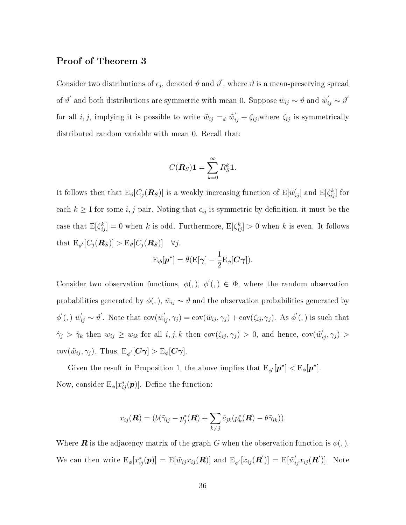#### Proof of Theorem 3

Consider two distributions of  $\epsilon_j$ , denoted  $\vartheta$  and  $\vartheta'$ , where  $\vartheta$  is a mean-preserving spread of  $\vartheta'$  and both distributions are symmetric with mean 0. Suppose  $\tilde w_{ij}\sim \vartheta$  and  $\tilde w_{ij}'\sim \vartheta'$ for all *i*, *j*, implying it is possible to write  $\tilde{w}_{ij} =_d \tilde{w}'_{ij} + \zeta_{ij}$ , where  $\zeta_{ij}$  is symmetrically distributed random variable with mean 0. Recall that:

$$
C(\boldsymbol{R}_{S})\mathbf{1}=\sum_{k=0}^{\infty}R_{S}^{k}\mathbf{1}.
$$

It follows then that  $E_{\vartheta}[C_j(R_S)]$  is a weakly increasing function of  $E[\tilde{w}'_{ij}]$  and  $E[\zeta_{ij}^k]$  for each  $k \geq 1$  for some i, j pair. Noting that  $\epsilon_{ij}$  is symmetric by definition, it must be the case that  $E[\zeta_{ij}^k] = 0$  when k is odd. Furthermore,  $E[\zeta_{ij}^k] > 0$  when k is even. It follows that  $\mathbb{E}_{\vartheta'}[C_j(\mathbf{R}_S)] > \mathbb{E}_{\vartheta}[C_j(\mathbf{R}_S)] \quad \forall j.$ 

$$
\mathrm{E}_{\boldsymbol{\phi}}[\boldsymbol{p}^*] = \theta(\mathrm{E}[\boldsymbol{\gamma}] - \frac{1}{2}\mathrm{E}_{\boldsymbol{\phi}}[\boldsymbol{C}\boldsymbol{\gamma}]).
$$

Consider two observation functions,  $\phi($ ,  $)$ ,  $\phi'($ ,  $) \in \Phi$ , where the random observation probabilities generated by  $\phi(.)$ ,  $\tilde{w}_{ij} \sim \vartheta$  and the observation probabilities generated by  $\phi'$ (,)  $\tilde{w}'_{ij} \sim \vartheta'$ . Note that  $\text{cov}(\tilde{w}'_{ij}, \gamma_j) = \text{cov}(\tilde{w}_{ij}, \gamma_j) + \text{cov}(\zeta_{ij}, \gamma_j)$ . As  $\phi'$ (,) is such that  $\hat{\gamma}_j > \hat{\gamma}_k$  then  $w_{ij} \ge w_{ik}$  for all  $i, j, k$  then  $cov(\zeta_{ij}, \gamma_j) > 0$ , and hence,  $cov(\tilde{w}'_{ij}, \gamma_j) >$  $\text{cov}(\tilde{w}_{ij}, \gamma_j)$ . Thus,  $\text{E}_{\phi'}[\boldsymbol{C} \boldsymbol{\gamma}] > \text{E}_{\phi}[\boldsymbol{C} \boldsymbol{\gamma}].$ 

Given the result in Proposition 1, the above implies that  $E_{\phi}[\mathbf{p}^*] < E_{\phi}[\mathbf{p}^*]$ . Now, consider  $\mathrm{E}_{\phi} [x_{ij}^* (\bm{p})].$  Define the function:

$$
x_{ij}(\boldsymbol{R})=(b(\tilde{\gamma}_{ij}-p_j^*(\boldsymbol{R})+\sum_{k\neq j}\hat{c}_{jk}(p_k^*(\boldsymbol{R})-\theta\tilde{\gamma}_{ik})).
$$

Where **R** is the adjacency matrix of the graph G when the observation function is  $\phi$ ,). We can then write  $E_{\phi}[x_{ij}^*(p)] = E[\tilde{w}_{ij}x_{ij}(\mathbf{R})]$  and  $E_{\phi'}[x_{ij}(\mathbf{R}')] = E[\tilde{w}_{ij}'x_{ij}(\mathbf{R}')]$ . Note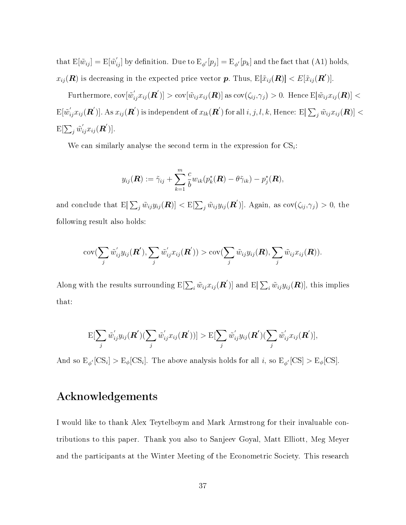that  $E[\tilde{w}_{ij}] = E[\tilde{w}_{ij}]$  by definition. Due to  $E_{\phi'}[p_j] = E_{\phi'}[p_k]$  and the fact that (A1) holds,  $x_{ij}(\bm{R})$  is decreasing in the expected price vector  $\bm{p}.$  Thus,  $\mathrm{E}[\tilde{x}_{ij}(\bm{R})] < E[\tilde{x}_{ij}(\bm{R}')]$ .

 $\text{Furthermore, cov}[\tilde{w}_{ij}^{\prime}x_{ij}(\bm{R}^{\prime})] > \text{cov}[\tilde{w}_{ij}x_{ij}(\bm{R})] \text{ as } \text{cov}(\zeta_{ij},\gamma_{j}) > 0. \text{ Hence } \text{E}[\tilde{w}_{ij}x_{ij}(\bm{R})] <$  $\mathrm{E}[\tilde w_{ij}' x_{ij}(\bm{R}')]$ . As  $x_{ij}(\bm{R}')$  is independent of  $x_{lk}(\bm{R}')$  for all  $i,j,l,k,$  Hence:  $\mathrm{E}[\sum_j \tilde w_{ij} x_{ij}(\bm{R})] <$  $\mathrm{E}[\sum_j \tilde{w}^{\prime}_{ij}x_{ij}(\boldsymbol{R}^{\prime})].$ 

We can similarly analyse the second term in the expression for  $CS_i$ :

$$
y_{ij}(\boldsymbol{R}) := \tilde{\gamma}_{ij} + \sum_{k=1}^m \frac{c}{b} w_{ik} (p_k^*(\boldsymbol{R}) - \theta \tilde{\gamma}_{ik}) - p_j^*(\boldsymbol{R}),
$$

and conclude that  $\mathbb{E}[\sum_j \tilde{w}_{ij}y_{ij}(\boldsymbol{R})] < \mathbb{E}[\sum_j \tilde{w}_{ij}y_{ij}(\boldsymbol{R}')]$ . Again, as  $\text{cov}(\zeta_{ij}, \gamma_j) > 0$ , the following result also holds:

$$
cov(\sum_{j}\tilde{w}_{ij}'y_{ij}(\boldsymbol{R}'),\sum_{j}\tilde{w}_{ij}'x_{ij}(\boldsymbol{R}')) > cov(\sum_{j}\tilde{w}_{ij}y_{ij}(\boldsymbol{R}),\sum_{j}\tilde{w}_{ij}x_{ij}(\boldsymbol{R})).
$$

Along with the results surrounding  $\mathrm{E}[\sum_i \tilde{w}_{ij} x_{ij}(\bm{R}^\prime)]$  and  $\mathrm{E}[\sum_i \tilde{w}_{ij} y_{ij}(\bm{R})]$ , this implies that:

$$
\mathrm{E}[\sum_{j}\tilde{w}_{ij}'y_{ij}(\mathbf{R}')(\sum_{j}\tilde{w}_{ij}'x_{ij}(\mathbf{R}'))] > \mathrm{E}[\sum_{j}\tilde{w}_{ij}'y_{ij}(\mathbf{R}')(\sum_{j}\tilde{w}_{ij}'x_{ij}(\mathbf{R}'))],
$$

And so  $\mathcal{E}_{\phi'}[\text{CS}_i] > \mathcal{E}_{\phi}[\text{CS}_i]$ . The above analysis holds for all *i*, so  $\mathcal{E}_{\phi'}[\text{CS}] > \mathcal{E}_{\phi}[\text{CS}]$ .

# Acknowledgements

I would like to thank Alex Teytelboym and Mark Armstrong for their invaluable contributions to this paper. Thank you also to Sanjeev Goyal, Matt Elliott, Meg Meyer and the participants at the Winter Meeting of the Econometric Society. This research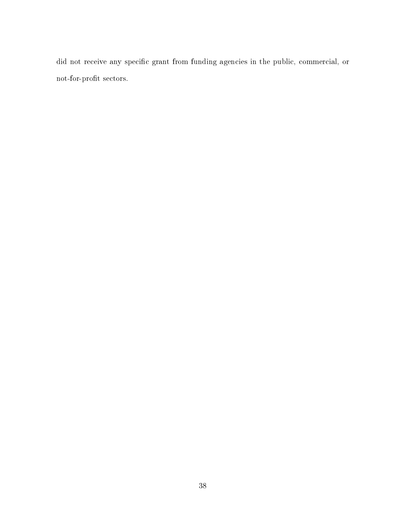did not receive any specific grant from funding agencies in the public, commercial, or  $\operatorname*{not}\textrm{-}\operatorname*{for}\textrm{-}\operatorname*{ports}\operatorname*{sectors}.$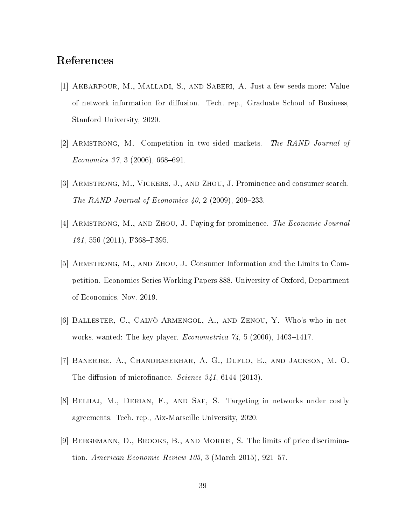# References

- [1] Akbarpour, M., Malladi, S., and Saberi, A. Just a few seeds more: Value of network information for diffusion. Tech. rep., Graduate School of Business, Stanford University, 2020.
- [2] Armstrong, M. Competition in two-sided markets. The RAND Journal of  $Economics 37, 3 (2006), 668-691.$
- [3] Armstrong, M., Vickers, J., and Zhou, J. Prominence and consumer search. The RAND Journal of Economics  $40, 2$  (2009), 209–233.
- [4] Armstrong, M., and Zhou, J. Paying for prominence. The Economic Journal 121, 556 (2011), F368-F395.
- [5] Armstrong, M., and Zhou, J. Consumer Information and the Limits to Competition. Economics Series Working Papers 888, University of Oxford, Department of Economics, Nov. 2019.
- [6] Ballester, C., Calvò-Armengol, A., and Zenou, Y. Who's who in networks. wanted: The key player. *Econometrica*  $74$ , 5 (2006), 1403-1417.
- [7] Banerjee, A., Chandrasekhar, A. G., Duflo, E., and Jackson, M. O. The diffusion of microfinance. Science  $341, 6144$  (2013).
- [8] Belhaj, M., Derian, F., and Saf, S. Targeting in networks under costly agreements. Tech. rep., Aix-Marseille University, 2020.
- [9] Bergemann, D., Brooks, B., and Morris, S. The limits of price discrimination. American Economic Review 105, 3 (March 2015), 921–57.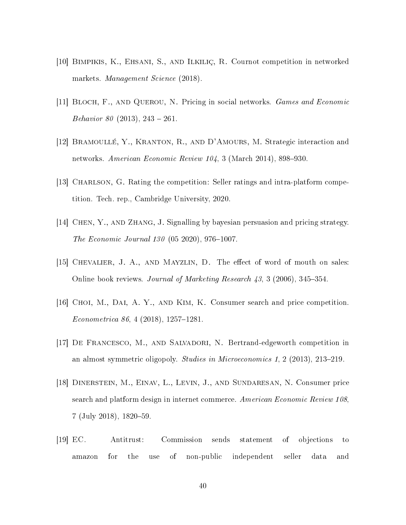- [10] Bimpikis, K., Ehsani, S., and Ilkiliç, R. Cournot competition in networked markets. Management Science (2018).
- [11] Bloch, F., and Querou, N. Pricing in social networks. Games and Economic Behavior 80 (2013), 243 – 261.
- [12] Bramoullé, Y., Kranton, R., and D'Amours, M. Strategic interaction and networks. American Economic Review  $104, 3$  (March 2014), 898–930.
- [13] CHARLSON, G. Rating the competition: Seller ratings and intra-platform competition. Tech. rep., Cambridge University, 2020.
- [14] Chen, Y., and Zhang, J. Signalling by bayesian persuasion and pricing strategy. The Economic Journal  $130$  (05 2020), 976-1007.
- [15] CHEVALIER, J. A., AND MAYZLIN, D. The effect of word of mouth on sales: Online book reviews. Journal of Marketing Research  $43, 3$  (2006), 345–354.
- [16] Choi, M., Dai, A. Y., and Kim, K. Consumer search and price competition.  $Econometrica 86, 4 (2018), 1257-1281.$
- [17] De Francesco, M., and Salvadori, N. Bertrand-edgeworth competition in an almost symmetric oligopoly. Studies in Microeconomics 1, 2 (2013), 213-219.
- [18] Dinerstein, M., Einav, L., Levin, J., and Sundaresan, N. Consumer price search and platform design in internet commerce. American Economic Review 108,  $7$  (July 2018), 1820–59.
- [19] EC. Antitrust: Commission sends statement of objections to amazon for the use of non-public independent seller data and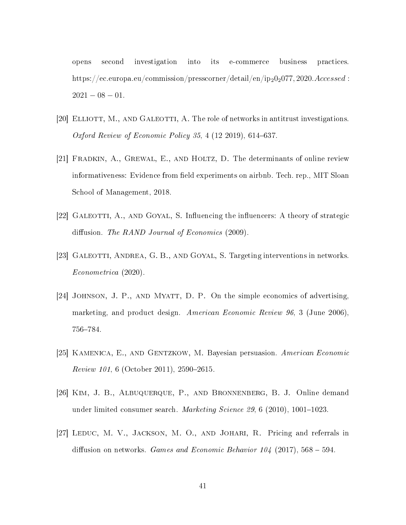opens second investigation into its e-commerce business practices. https://ec.europa.eu/commission/presscorner/detail/en/ip<sub>2</sub>0<sub>2</sub>077, 2020.Accessed :  $2021 - 08 - 01.$ 

- [20] ELLIOTT, M., AND GALEOTTI, A. The role of networks in antitrust investigations. Oxford Review of Economic Policy  $35, 4$  (12 2019), 614–637.
- [21] Fradkin, A., Grewal, E., and Holtz, D. The determinants of online review informativeness: Evidence from field experiments on airbnb. Tech. rep., MIT Sloan School of Management, 2018.
- [22] GALEOTTI, A., AND GOYAL, S. Influencing the influencers: A theory of strategic diffusion. The RAND Journal of Economics  $(2009)$ .
- [23] Galeotti, Andrea, G. B., and Goyal, S. Targeting interventions in networks. Econometrica (2020).
- [24] Johnson, J. P., and Myatt, D. P. On the simple economics of advertising, marketing, and product design. American Economic Review 96, 3 (June 2006), 756-784.
- [25] Kamenica, E., and Gentzkow, M. Bayesian persuasion. American Economic  $Review 101, 6 (October 2011), 2590-2615.$
- [26] Kim, J. B., Albuquerque, P., and Bronnenberg, B. J. Online demand under limited consumer search. *Marketing Science 29*, 6 (2010), 1001-1023.
- [27] Leduc, M. V., Jackson, M. O., and Johari, R. Pricing and referrals in diffusion on networks. Games and Economic Behavior 104 (2017), 568 – 594.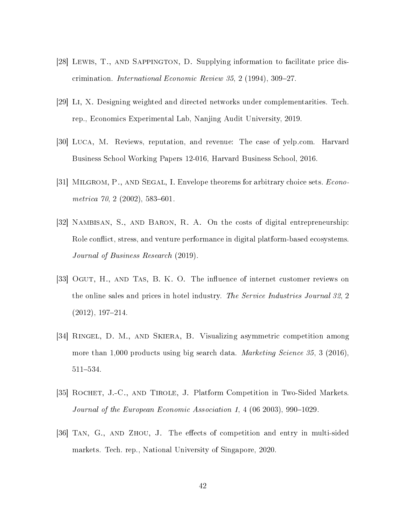- [28] LEWIS, T., AND SAPPINGTON, D. Supplying information to facilitate price discrimination. *International Economic Review 35*, 2 (1994), 309–27.
- [29] Li, X. Designing weighted and directed networks under complementarities. Tech. rep., Economics Experimental Lab, Nanjing Audit University, 2019.
- [30] Luca, M. Reviews, reputation, and revenue: The case of yelp.com. Harvard Business School Working Papers 12-016, Harvard Business School, 2016.
- [31] MILGROM, P., AND SEGAL, I. Envelope theorems for arbitrary choice sets. *Econo*metrica  $70, 2$  (2002), 583-601.
- [32] Nambisan, S., and Baron, R. A. On the costs of digital entrepreneurship: Role conflict, stress, and venture performance in digital platform-based ecosystems. Journal of Business Research (2019).
- [33] OGUT, H., AND TAS, B. K. O. The influence of internet customer reviews on the online sales and prices in hotel industry. The Service Industries Journal 32, 2  $(2012), 197-214.$
- [34] Ringel, D. M., and Skiera, B. Visualizing asymmetric competition among more than 1,000 products using big search data. *Marketing Science 35*, 3 (2016), 511-534.
- [35] Rochet, J.-C., and Tirole, J. Platform Competition in Two-Sided Markets. Journal of the European Economic Association 1, 4  $(06 2003)$ , 990-1029.
- [36] TAN, G., AND ZHOU, J. The effects of competition and entry in multi-sided markets. Tech. rep., National University of Singapore, 2020.